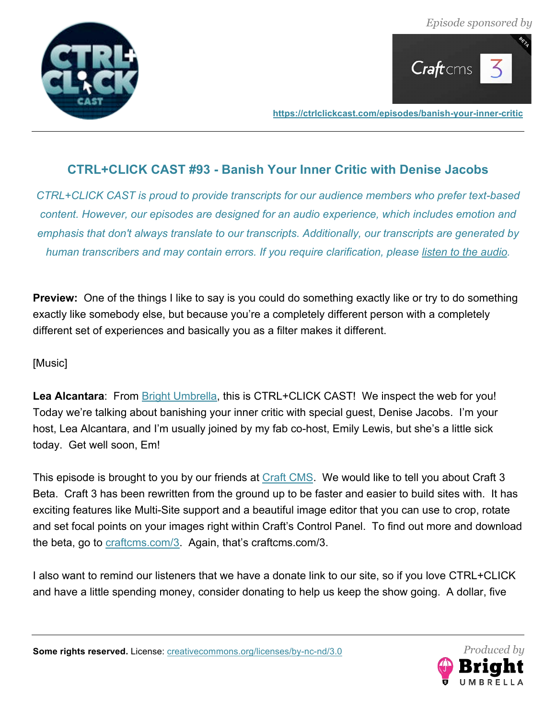



# **CTRL+CLICK CAST #93 - Banish Your Inner Critic with Denise Jacobs**

*CTRL+CLICK CAST is proud to provide transcripts for our audience members who prefer text-based content. However, our episodes are designed for an audio experience, which includes emotion and emphasis that don't always translate to our transcripts. Additionally, our transcripts are generated by human transcribers and may contain errors. If you require clarification, please listen to the audio.*

**Preview:** One of the things I like to say is you could do something exactly like or try to do something exactly like somebody else, but because you're a completely different person with a completely different set of experiences and basically you as a filter makes it different.

[Music]

Lea Alcantara: From **Bright Umbrella**, this is CTRL+CLICK CAST! We inspect the web for you! Today we're talking about banishing your inner critic with special guest, Denise Jacobs. I'm your host, Lea Alcantara, and I'm usually joined by my fab co-host, Emily Lewis, but she's a little sick today. Get well soon, Em!

This episode is brought to you by our friends at Craft CMS. We would like to tell you about Craft 3 Beta. Craft 3 has been rewritten from the ground up to be faster and easier to build sites with. It has exciting features like Multi-Site support and a beautiful image editor that you can use to crop, rotate and set focal points on your images right within Craft's Control Panel. To find out more and download the beta, go to craftcms.com/3. Again, that's craftcms.com/3.

I also want to remind our listeners that we have a donate link to our site, so if you love CTRL+CLICK and have a little spending money, consider donating to help us keep the show going. A dollar, five

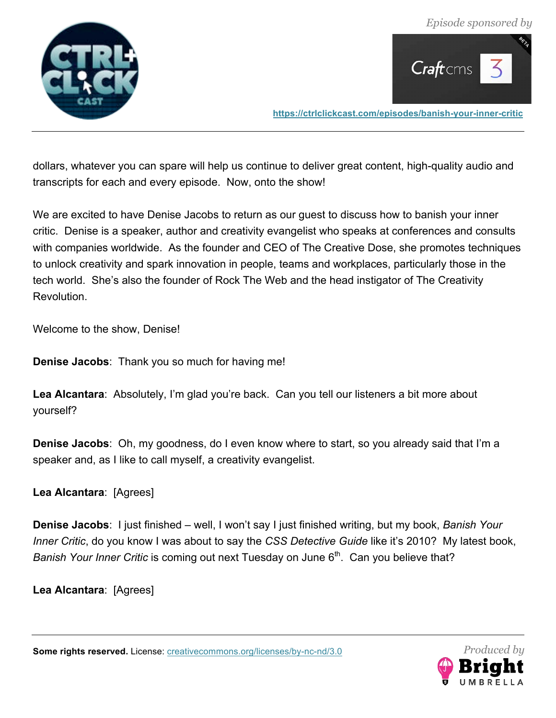



dollars, whatever you can spare will help us continue to deliver great content, high-quality audio and transcripts for each and every episode. Now, onto the show!

We are excited to have Denise Jacobs to return as our guest to discuss how to banish your inner critic. Denise is a speaker, author and creativity evangelist who speaks at conferences and consults with companies worldwide. As the founder and CEO of The Creative Dose, she promotes techniques to unlock creativity and spark innovation in people, teams and workplaces, particularly those in the tech world. She's also the founder of Rock The Web and the head instigator of The Creativity Revolution.

Welcome to the show, Denise!

**Denise Jacobs**: Thank you so much for having me!

**Lea Alcantara**: Absolutely, I'm glad you're back. Can you tell our listeners a bit more about yourself?

**Denise Jacobs**: Oh, my goodness, do I even know where to start, so you already said that I'm a speaker and, as I like to call myself, a creativity evangelist.

**Lea Alcantara**: [Agrees]

**Denise Jacobs**: I just finished – well, I won't say I just finished writing, but my book, *Banish Your Inner Critic*, do you know I was about to say the *CSS Detective Guide* like it's 2010? My latest book, *Banish Your Inner Critic* is coming out next Tuesday on June 6<sup>th</sup>. Can you believe that?

**Lea Alcantara**: [Agrees]

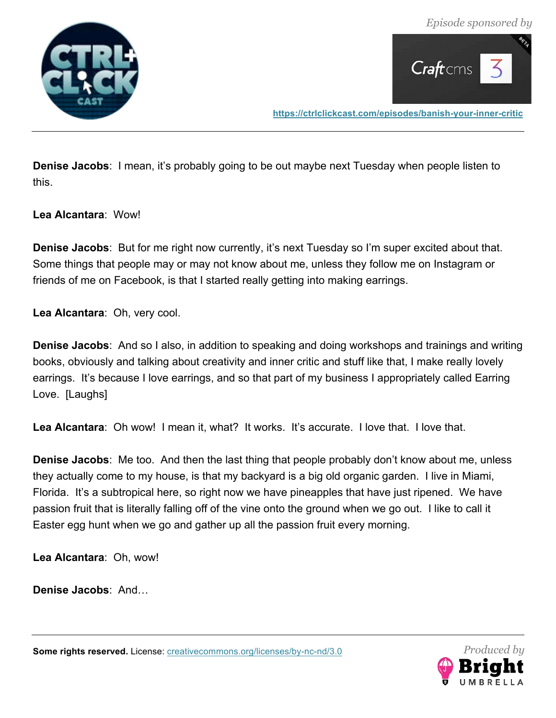



**Denise Jacobs**: I mean, it's probably going to be out maybe next Tuesday when people listen to this.

**Lea Alcantara**: Wow!

**Denise Jacobs**: But for me right now currently, it's next Tuesday so I'm super excited about that. Some things that people may or may not know about me, unless they follow me on Instagram or friends of me on Facebook, is that I started really getting into making earrings.

**Lea Alcantara**: Oh, very cool.

**Denise Jacobs**: And so I also, in addition to speaking and doing workshops and trainings and writing books, obviously and talking about creativity and inner critic and stuff like that, I make really lovely earrings. It's because I love earrings, and so that part of my business I appropriately called Earring Love. [Laughs]

**Lea Alcantara**: Oh wow! I mean it, what? It works. It's accurate. I love that. I love that.

**Denise Jacobs**: Me too. And then the last thing that people probably don't know about me, unless they actually come to my house, is that my backyard is a big old organic garden. I live in Miami, Florida. It's a subtropical here, so right now we have pineapples that have just ripened. We have passion fruit that is literally falling off of the vine onto the ground when we go out. I like to call it Easter egg hunt when we go and gather up all the passion fruit every morning.

**Lea Alcantara**: Oh, wow!

**Denise Jacobs**: And…

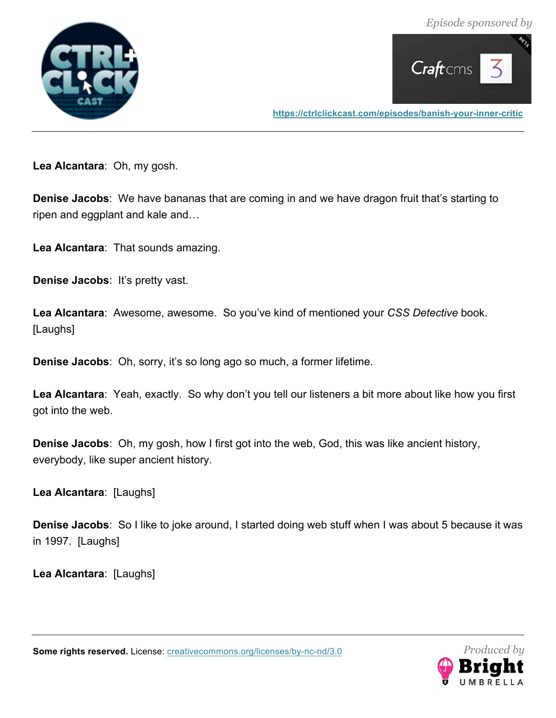



**Lea Alcantara**: Oh, my gosh.

**Denise Jacobs**: We have bananas that are coming in and we have dragon fruit that's starting to ripen and eggplant and kale and…

**Lea Alcantara**: That sounds amazing.

**Denise Jacobs**: It's pretty vast.

**Lea Alcantara**: Awesome, awesome. So you've kind of mentioned your *CSS Detective* book. [Laughs]

**Denise Jacobs**: Oh, sorry, it's so long ago so much, a former lifetime.

**Lea Alcantara**: Yeah, exactly. So why don't you tell our listeners a bit more about like how you first got into the web.

**Denise Jacobs**: Oh, my gosh, how I first got into the web, God, this was like ancient history, everybody, like super ancient history.

**Lea Alcantara**: [Laughs]

**Denise Jacobs**: So I like to joke around, I started doing web stuff when I was about 5 because it was in 1997. [Laughs]

**Lea Alcantara**: [Laughs]

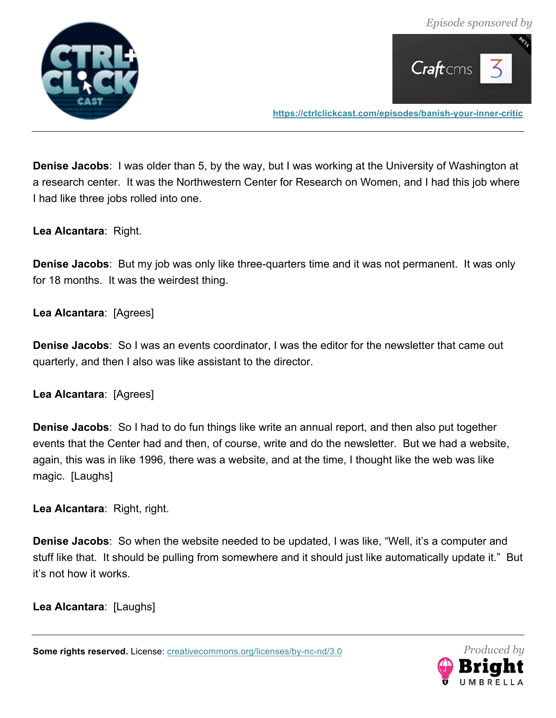



**Denise Jacobs**: I was older than 5, by the way, but I was working at the University of Washington at a research center. It was the Northwestern Center for Research on Women, and I had this job where I had like three jobs rolled into one.

**Lea Alcantara**: Right.

**Denise Jacobs**: But my job was only like three-quarters time and it was not permanent. It was only for 18 months. It was the weirdest thing.

**Lea Alcantara**: [Agrees]

**Denise Jacobs**: So I was an events coordinator, I was the editor for the newsletter that came out quarterly, and then I also was like assistant to the director.

**Lea Alcantara**: [Agrees]

**Denise Jacobs**: So I had to do fun things like write an annual report, and then also put together events that the Center had and then, of course, write and do the newsletter. But we had a website, again, this was in like 1996, there was a website, and at the time, I thought like the web was like magic. [Laughs]

**Lea Alcantara**: Right, right.

**Denise Jacobs**: So when the website needed to be updated, I was like, "Well, it's a computer and stuff like that. It should be pulling from somewhere and it should just like automatically update it." But it's not how it works.

**Lea Alcantara**: [Laughs]

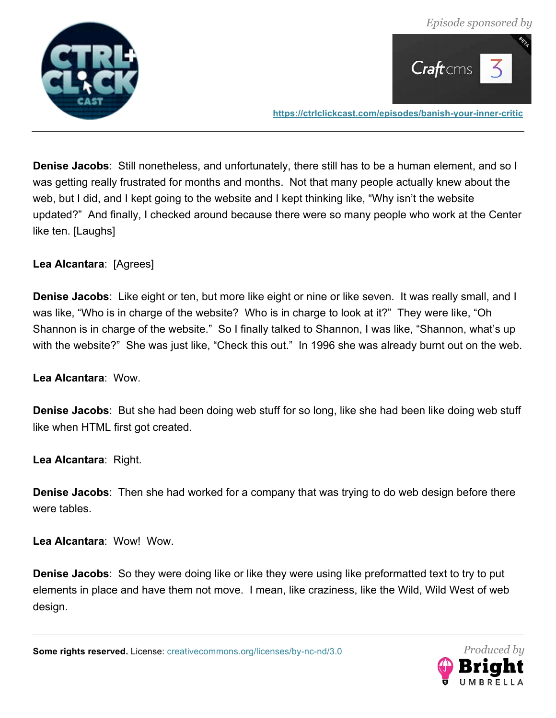



**Denise Jacobs**: Still nonetheless, and unfortunately, there still has to be a human element, and so I was getting really frustrated for months and months. Not that many people actually knew about the web, but I did, and I kept going to the website and I kept thinking like, "Why isn't the website updated?" And finally, I checked around because there were so many people who work at the Center like ten. [Laughs]

# **Lea Alcantara**: [Agrees]

**Denise Jacobs**: Like eight or ten, but more like eight or nine or like seven. It was really small, and I was like, "Who is in charge of the website? Who is in charge to look at it?" They were like, "Oh Shannon is in charge of the website." So I finally talked to Shannon, I was like, "Shannon, what's up with the website?" She was just like, "Check this out." In 1996 she was already burnt out on the web.

**Lea Alcantara**: Wow.

**Denise Jacobs**: But she had been doing web stuff for so long, like she had been like doing web stuff like when HTML first got created.

**Lea Alcantara**: Right.

**Denise Jacobs**: Then she had worked for a company that was trying to do web design before there were tables.

**Lea Alcantara**: Wow! Wow.

**Denise Jacobs**: So they were doing like or like they were using like preformatted text to try to put elements in place and have them not move. I mean, like craziness, like the Wild, Wild West of web design.

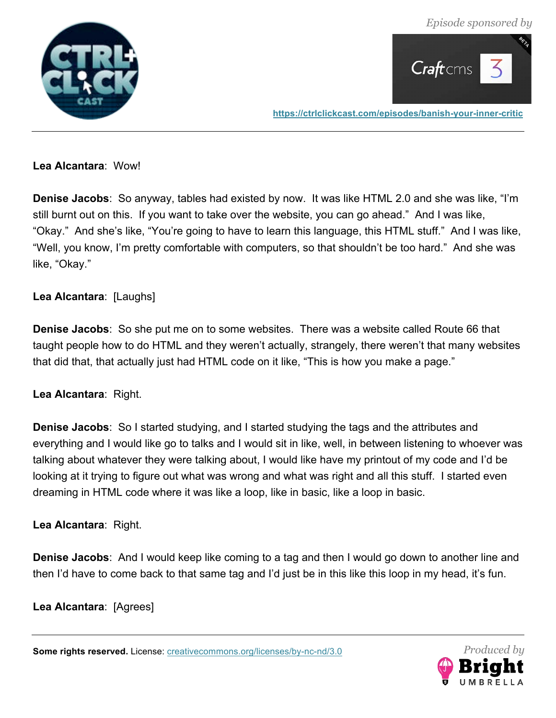*Episode sponsored by*





**https://ctrlclickcast.com/episodes/banish-your-inner-critic**

#### **Lea Alcantara**: Wow!

**Denise Jacobs**: So anyway, tables had existed by now. It was like HTML 2.0 and she was like, "I'm still burnt out on this. If you want to take over the website, you can go ahead." And I was like, "Okay." And she's like, "You're going to have to learn this language, this HTML stuff." And I was like, "Well, you know, I'm pretty comfortable with computers, so that shouldn't be too hard." And she was like, "Okay."

# **Lea Alcantara**: [Laughs]

**Denise Jacobs**: So she put me on to some websites. There was a website called Route 66 that taught people how to do HTML and they weren't actually, strangely, there weren't that many websites that did that, that actually just had HTML code on it like, "This is how you make a page."

# **Lea Alcantara**: Right.

**Denise Jacobs**: So I started studying, and I started studying the tags and the attributes and everything and I would like go to talks and I would sit in like, well, in between listening to whoever was talking about whatever they were talking about, I would like have my printout of my code and I'd be looking at it trying to figure out what was wrong and what was right and all this stuff. I started even dreaming in HTML code where it was like a loop, like in basic, like a loop in basic.

# **Lea Alcantara**: Right.

**Denise Jacobs**: And I would keep like coming to a tag and then I would go down to another line and then I'd have to come back to that same tag and I'd just be in this like this loop in my head, it's fun.

# **Lea Alcantara**: [Agrees]

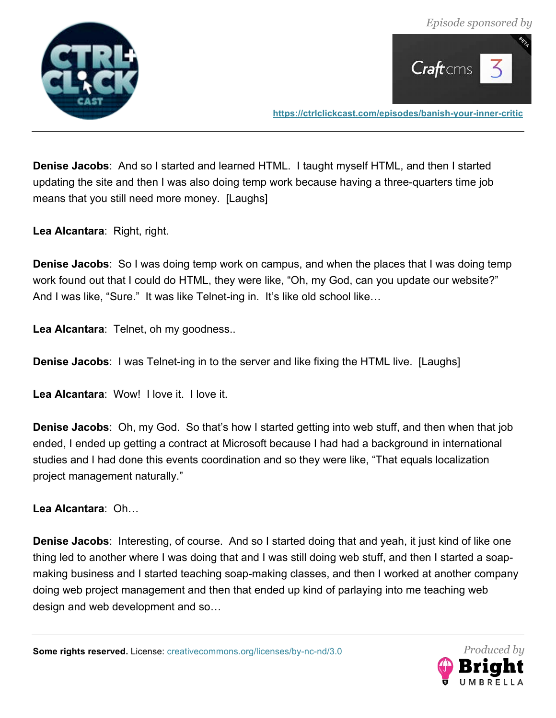



**Denise Jacobs**: And so I started and learned HTML. I taught myself HTML, and then I started updating the site and then I was also doing temp work because having a three-quarters time job means that you still need more money. [Laughs]

**Lea Alcantara**: Right, right.

**Denise Jacobs**: So I was doing temp work on campus, and when the places that I was doing temp work found out that I could do HTML, they were like, "Oh, my God, can you update our website?" And I was like, "Sure." It was like Telnet-ing in. It's like old school like…

**Lea Alcantara**: Telnet, oh my goodness..

**Denise Jacobs**: I was Telnet-ing in to the server and like fixing the HTML live. [Laughs]

**Lea Alcantara**: Wow! I love it. I love it.

**Denise Jacobs**: Oh, my God. So that's how I started getting into web stuff, and then when that job ended, I ended up getting a contract at Microsoft because I had had a background in international studies and I had done this events coordination and so they were like, "That equals localization project management naturally."

**Lea Alcantara**: Oh…

**Denise Jacobs**: Interesting, of course. And so I started doing that and yeah, it just kind of like one thing led to another where I was doing that and I was still doing web stuff, and then I started a soapmaking business and I started teaching soap-making classes, and then I worked at another company doing web project management and then that ended up kind of parlaying into me teaching web design and web development and so…

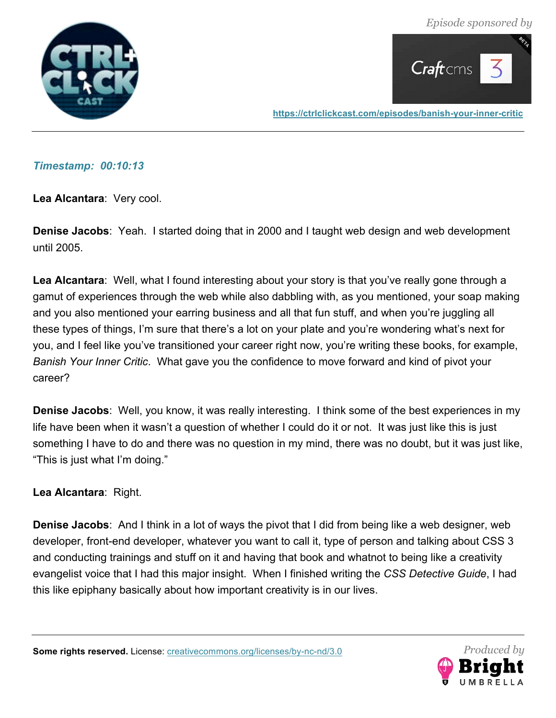*Episode sponsored by*





**https://ctrlclickcast.com/episodes/banish-your-inner-critic**

#### *Timestamp: 00:10:13*

**Lea Alcantara**: Very cool.

**Denise Jacobs**: Yeah. I started doing that in 2000 and I taught web design and web development until 2005.

**Lea Alcantara**: Well, what I found interesting about your story is that you've really gone through a gamut of experiences through the web while also dabbling with, as you mentioned, your soap making and you also mentioned your earring business and all that fun stuff, and when you're juggling all these types of things, I'm sure that there's a lot on your plate and you're wondering what's next for you, and I feel like you've transitioned your career right now, you're writing these books, for example, *Banish Your Inner Critic*. What gave you the confidence to move forward and kind of pivot your career?

**Denise Jacobs**: Well, you know, it was really interesting. I think some of the best experiences in my life have been when it wasn't a question of whether I could do it or not. It was just like this is just something I have to do and there was no question in my mind, there was no doubt, but it was just like, "This is just what I'm doing."

# **Lea Alcantara**: Right.

**Denise Jacobs**: And I think in a lot of ways the pivot that I did from being like a web designer, web developer, front-end developer, whatever you want to call it, type of person and talking about CSS 3 and conducting trainings and stuff on it and having that book and whatnot to being like a creativity evangelist voice that I had this major insight. When I finished writing the *CSS Detective Guide*, I had this like epiphany basically about how important creativity is in our lives.

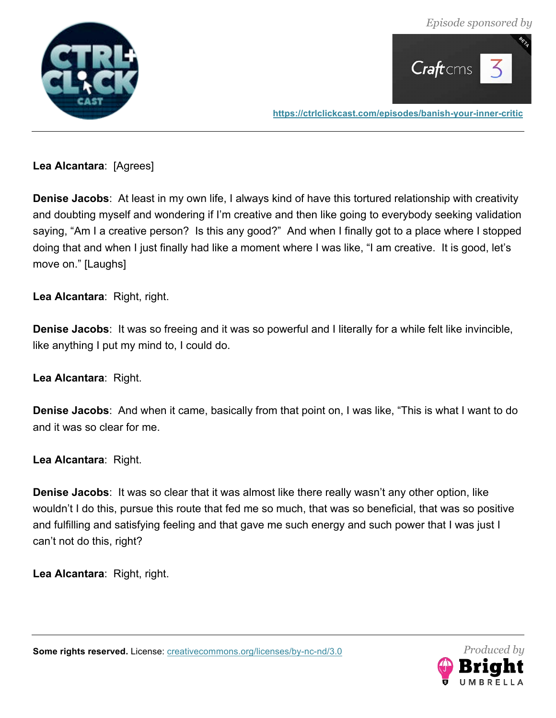



**Lea Alcantara**: [Agrees]

**Denise Jacobs**: At least in my own life, I always kind of have this tortured relationship with creativity and doubting myself and wondering if I'm creative and then like going to everybody seeking validation saying, "Am I a creative person? Is this any good?" And when I finally got to a place where I stopped doing that and when I just finally had like a moment where I was like, "I am creative. It is good, let's move on." [Laughs]

**Lea Alcantara**: Right, right.

**Denise Jacobs**: It was so freeing and it was so powerful and I literally for a while felt like invincible, like anything I put my mind to, I could do.

**Lea Alcantara**: Right.

**Denise Jacobs**: And when it came, basically from that point on, I was like, "This is what I want to do and it was so clear for me.

**Lea Alcantara**: Right.

**Denise Jacobs**: It was so clear that it was almost like there really wasn't any other option, like wouldn't I do this, pursue this route that fed me so much, that was so beneficial, that was so positive and fulfilling and satisfying feeling and that gave me such energy and such power that I was just I can't not do this, right?

**Lea Alcantara**: Right, right.

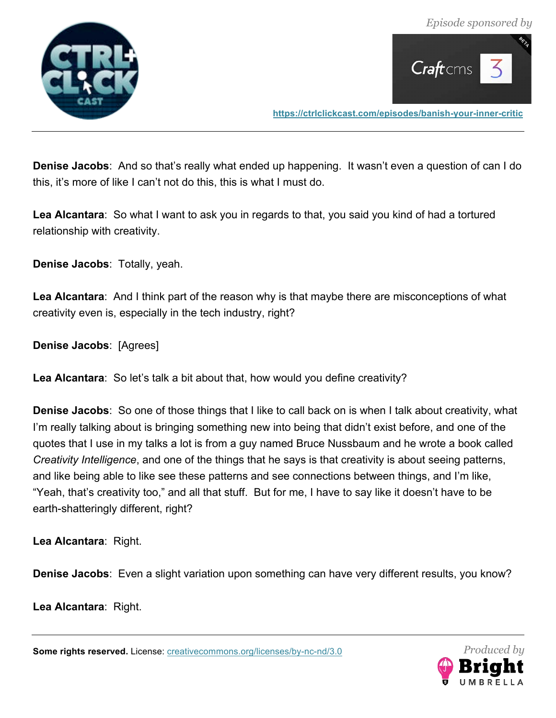

 $C$ raft $cms$ 

**https://ctrlclickcast.com/episodes/banish-your-inner-critic**

**Denise Jacobs**: And so that's really what ended up happening. It wasn't even a question of can I do this, it's more of like I can't not do this, this is what I must do.

**Lea Alcantara**: So what I want to ask you in regards to that, you said you kind of had a tortured relationship with creativity.

**Denise Jacobs**: Totally, yeah.

**Lea Alcantara**: And I think part of the reason why is that maybe there are misconceptions of what creativity even is, especially in the tech industry, right?

**Denise Jacobs**: [Agrees]

**Lea Alcantara**: So let's talk a bit about that, how would you define creativity?

**Denise Jacobs**: So one of those things that I like to call back on is when I talk about creativity, what I'm really talking about is bringing something new into being that didn't exist before, and one of the quotes that I use in my talks a lot is from a guy named Bruce Nussbaum and he wrote a book called *Creativity Intelligence*, and one of the things that he says is that creativity is about seeing patterns, and like being able to like see these patterns and see connections between things, and I'm like, "Yeah, that's creativity too," and all that stuff. But for me, I have to say like it doesn't have to be earth-shatteringly different, right?

**Lea Alcantara**: Right.

**Denise Jacobs**: Even a slight variation upon something can have very different results, you know?

**Lea Alcantara**: Right.

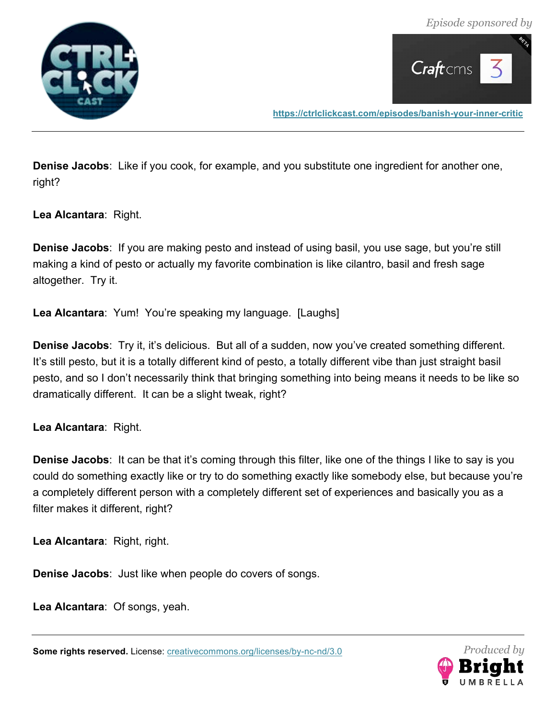



**Denise Jacobs**: Like if you cook, for example, and you substitute one ingredient for another one, right?

**Lea Alcantara**: Right.

**Denise Jacobs**: If you are making pesto and instead of using basil, you use sage, but you're still making a kind of pesto or actually my favorite combination is like cilantro, basil and fresh sage altogether. Try it.

**Lea Alcantara**: Yum! You're speaking my language. [Laughs]

**Denise Jacobs**: Try it, it's delicious. But all of a sudden, now you've created something different. It's still pesto, but it is a totally different kind of pesto, a totally different vibe than just straight basil pesto, and so I don't necessarily think that bringing something into being means it needs to be like so dramatically different. It can be a slight tweak, right?

**Lea Alcantara**: Right.

**Denise Jacobs**: It can be that it's coming through this filter, like one of the things I like to say is you could do something exactly like or try to do something exactly like somebody else, but because you're a completely different person with a completely different set of experiences and basically you as a filter makes it different, right?

**Lea Alcantara**: Right, right.

**Denise Jacobs**: Just like when people do covers of songs.

**Lea Alcantara**: Of songs, yeah.

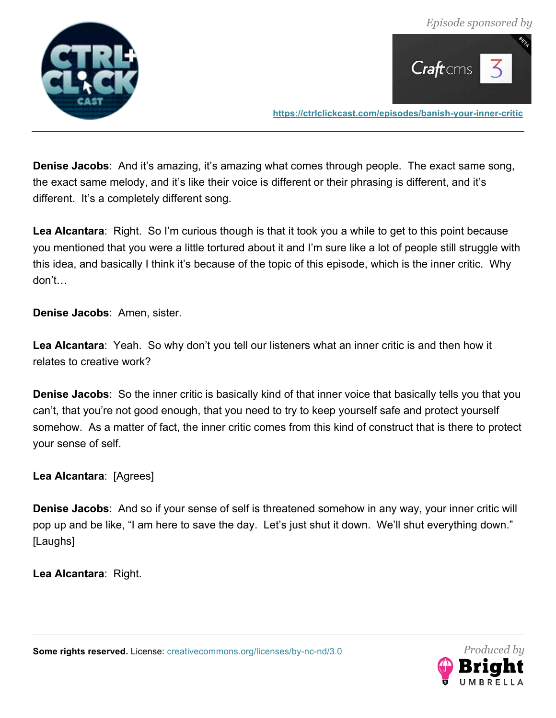



**Denise Jacobs**: And it's amazing, it's amazing what comes through people. The exact same song, the exact same melody, and it's like their voice is different or their phrasing is different, and it's different. It's a completely different song.

**Lea Alcantara**: Right. So I'm curious though is that it took you a while to get to this point because you mentioned that you were a little tortured about it and I'm sure like a lot of people still struggle with this idea, and basically I think it's because of the topic of this episode, which is the inner critic. Why don't…

**Denise Jacobs**: Amen, sister.

**Lea Alcantara**: Yeah. So why don't you tell our listeners what an inner critic is and then how it relates to creative work?

**Denise Jacobs**: So the inner critic is basically kind of that inner voice that basically tells you that you can't, that you're not good enough, that you need to try to keep yourself safe and protect yourself somehow. As a matter of fact, the inner critic comes from this kind of construct that is there to protect your sense of self.

**Lea Alcantara**: [Agrees]

**Denise Jacobs**: And so if your sense of self is threatened somehow in any way, your inner critic will pop up and be like, "I am here to save the day. Let's just shut it down. We'll shut everything down." [Laughs]

**Lea Alcantara**: Right.

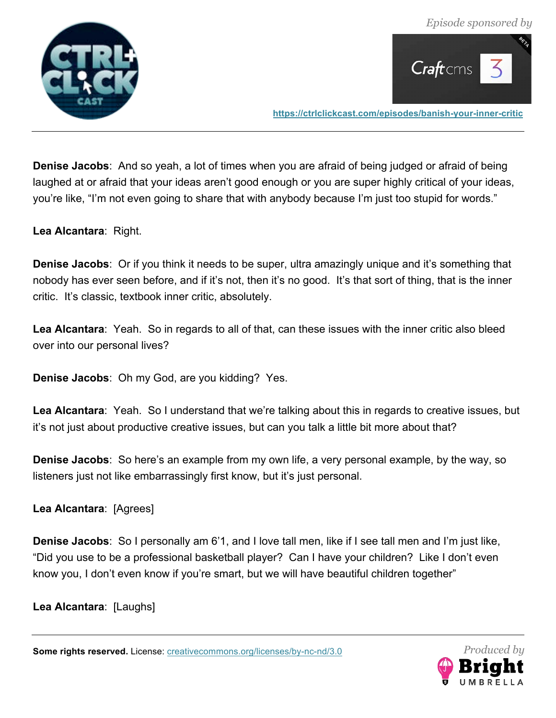



**Denise Jacobs**: And so yeah, a lot of times when you are afraid of being judged or afraid of being laughed at or afraid that your ideas aren't good enough or you are super highly critical of your ideas, you're like, "I'm not even going to share that with anybody because I'm just too stupid for words."

**Lea Alcantara**: Right.

**Denise Jacobs**: Or if you think it needs to be super, ultra amazingly unique and it's something that nobody has ever seen before, and if it's not, then it's no good. It's that sort of thing, that is the inner critic. It's classic, textbook inner critic, absolutely.

**Lea Alcantara**: Yeah. So in regards to all of that, can these issues with the inner critic also bleed over into our personal lives?

**Denise Jacobs**: Oh my God, are you kidding? Yes.

**Lea Alcantara**: Yeah. So I understand that we're talking about this in regards to creative issues, but it's not just about productive creative issues, but can you talk a little bit more about that?

**Denise Jacobs**: So here's an example from my own life, a very personal example, by the way, so listeners just not like embarrassingly first know, but it's just personal.

**Lea Alcantara**: [Agrees]

**Denise Jacobs**: So I personally am 6'1, and I love tall men, like if I see tall men and I'm just like, "Did you use to be a professional basketball player? Can I have your children? Like I don't even know you, I don't even know if you're smart, but we will have beautiful children together"

**Lea Alcantara**: [Laughs]

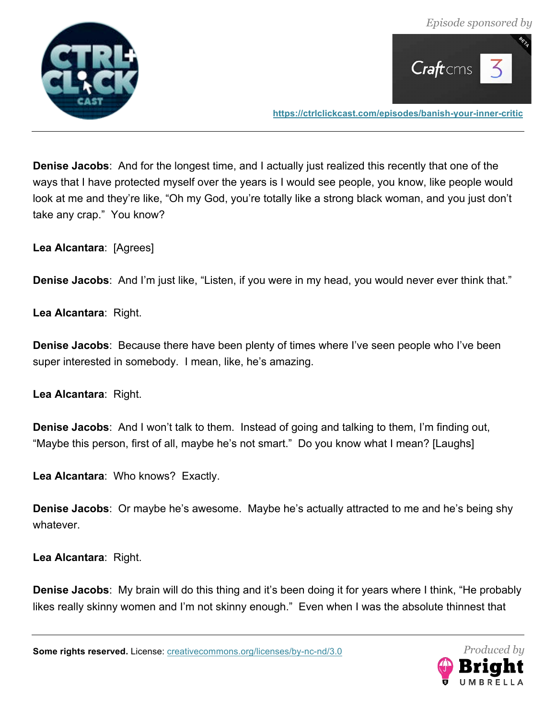



**Denise Jacobs**: And for the longest time, and I actually just realized this recently that one of the ways that I have protected myself over the years is I would see people, you know, like people would look at me and they're like, "Oh my God, you're totally like a strong black woman, and you just don't take any crap." You know?

**Lea Alcantara**: [Agrees]

**Denise Jacobs**: And I'm just like, "Listen, if you were in my head, you would never ever think that."

**Lea Alcantara**: Right.

**Denise Jacobs**: Because there have been plenty of times where I've seen people who I've been super interested in somebody. I mean, like, he's amazing.

**Lea Alcantara**: Right.

**Denise Jacobs**: And I won't talk to them. Instead of going and talking to them, I'm finding out, "Maybe this person, first of all, maybe he's not smart." Do you know what I mean? [Laughs]

**Lea Alcantara**: Who knows? Exactly.

**Denise Jacobs**: Or maybe he's awesome. Maybe he's actually attracted to me and he's being shy whatever.

**Lea Alcantara**: Right.

**Denise Jacobs**: My brain will do this thing and it's been doing it for years where I think, "He probably likes really skinny women and I'm not skinny enough." Even when I was the absolute thinnest that

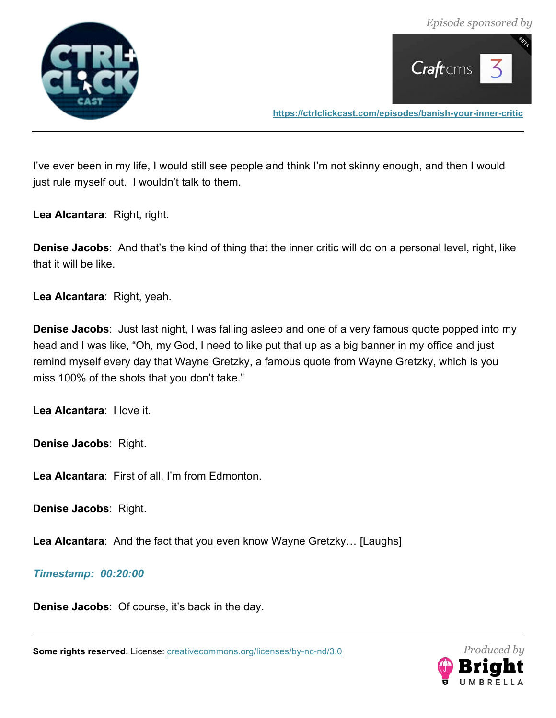



I've ever been in my life, I would still see people and think I'm not skinny enough, and then I would just rule myself out. I wouldn't talk to them.

**Lea Alcantara**: Right, right.

**Denise Jacobs**: And that's the kind of thing that the inner critic will do on a personal level, right, like that it will be like.

**Lea Alcantara**: Right, yeah.

**Denise Jacobs**: Just last night, I was falling asleep and one of a very famous quote popped into my head and I was like, "Oh, my God, I need to like put that up as a big banner in my office and just remind myself every day that Wayne Gretzky, a famous quote from Wayne Gretzky, which is you miss 100% of the shots that you don't take."

**Lea Alcantara**: I love it.

**Denise Jacobs**: Right.

**Lea Alcantara**: First of all, I'm from Edmonton.

**Denise Jacobs**: Right.

**Lea Alcantara**: And the fact that you even know Wayne Gretzky… [Laughs]

#### *Timestamp: 00:20:00*

**Denise Jacobs**: Of course, it's back in the day.

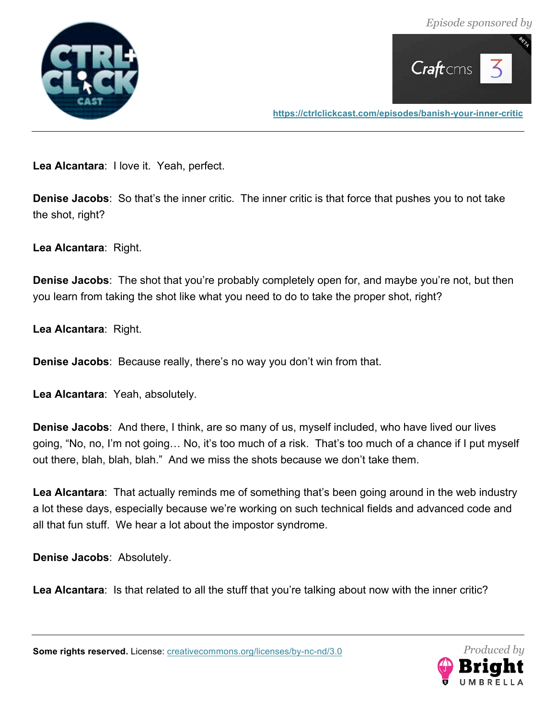



**Lea Alcantara**: I love it. Yeah, perfect.

**Denise Jacobs**: So that's the inner critic. The inner critic is that force that pushes you to not take the shot, right?

**Lea Alcantara**: Right.

**Denise Jacobs**: The shot that you're probably completely open for, and maybe you're not, but then you learn from taking the shot like what you need to do to take the proper shot, right?

**Lea Alcantara**: Right.

**Denise Jacobs**: Because really, there's no way you don't win from that.

**Lea Alcantara**: Yeah, absolutely.

**Denise Jacobs**: And there, I think, are so many of us, myself included, who have lived our lives going, "No, no, I'm not going… No, it's too much of a risk. That's too much of a chance if I put myself out there, blah, blah, blah." And we miss the shots because we don't take them.

**Lea Alcantara**: That actually reminds me of something that's been going around in the web industry a lot these days, especially because we're working on such technical fields and advanced code and all that fun stuff. We hear a lot about the impostor syndrome.

**Denise Jacobs**: Absolutely.

**Lea Alcantara**: Is that related to all the stuff that you're talking about now with the inner critic?

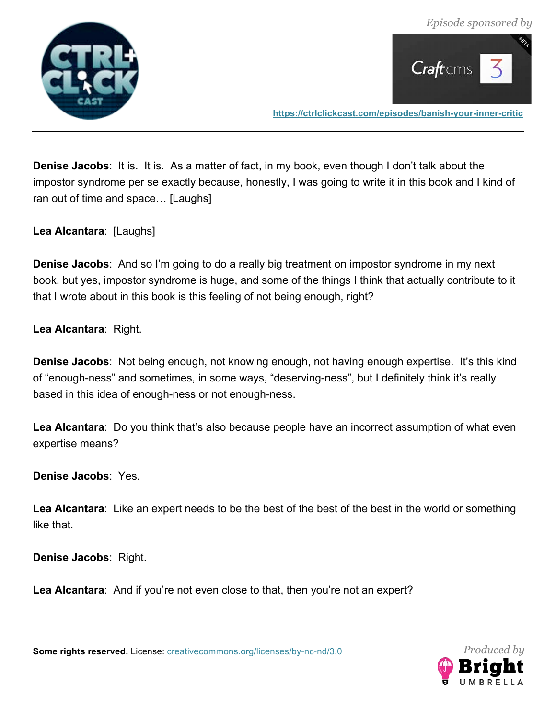



**Denise Jacobs**: It is. It is. As a matter of fact, in my book, even though I don't talk about the impostor syndrome per se exactly because, honestly, I was going to write it in this book and I kind of ran out of time and space… [Laughs]

**Lea Alcantara**: [Laughs]

**Denise Jacobs**: And so I'm going to do a really big treatment on impostor syndrome in my next book, but yes, impostor syndrome is huge, and some of the things I think that actually contribute to it that I wrote about in this book is this feeling of not being enough, right?

**Lea Alcantara**: Right.

**Denise Jacobs**: Not being enough, not knowing enough, not having enough expertise. It's this kind of "enough-ness" and sometimes, in some ways, "deserving-ness", but I definitely think it's really based in this idea of enough-ness or not enough-ness.

**Lea Alcantara**: Do you think that's also because people have an incorrect assumption of what even expertise means?

**Denise Jacobs**: Yes.

**Lea Alcantara**: Like an expert needs to be the best of the best of the best in the world or something like that.

**Denise Jacobs**: Right.

**Lea Alcantara**: And if you're not even close to that, then you're not an expert?



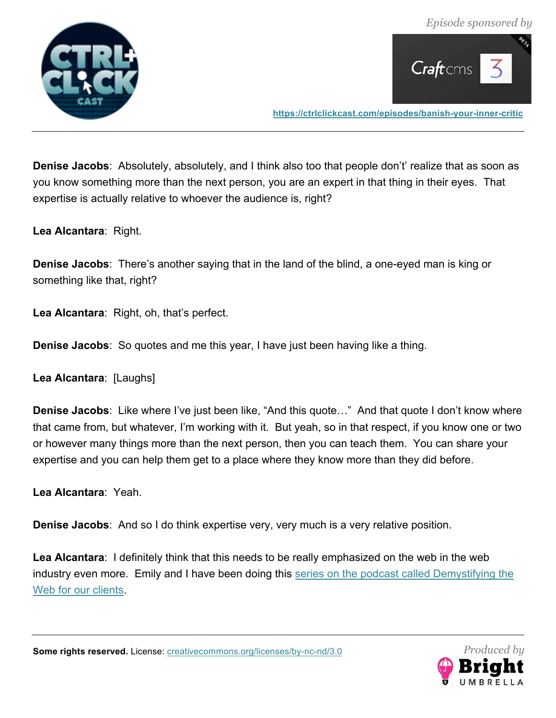



**Denise Jacobs**: Absolutely, absolutely, and I think also too that people don't' realize that as soon as you know something more than the next person, you are an expert in that thing in their eyes. That expertise is actually relative to whoever the audience is, right?

**Lea Alcantara**: Right.

**Denise Jacobs**: There's another saying that in the land of the blind, a one-eyed man is king or something like that, right?

**Lea Alcantara**: Right, oh, that's perfect.

**Denise Jacobs**: So quotes and me this year, I have just been having like a thing.

**Lea Alcantara**: [Laughs]

**Denise Jacobs**: Like where I've just been like, "And this quote…" And that quote I don't know where that came from, but whatever, I'm working with it. But yeah, so in that respect, if you know one or two or however many things more than the next person, then you can teach them. You can share your expertise and you can help them get to a place where they know more than they did before.

**Lea Alcantara**: Yeah.

**Denise Jacobs**: And so I do think expertise very, very much is a very relative position.

**Lea Alcantara**: I definitely think that this needs to be really emphasized on the web in the web industry even more. Emily and I have been doing this series on the podcast called Demystifying the Web for our clients.

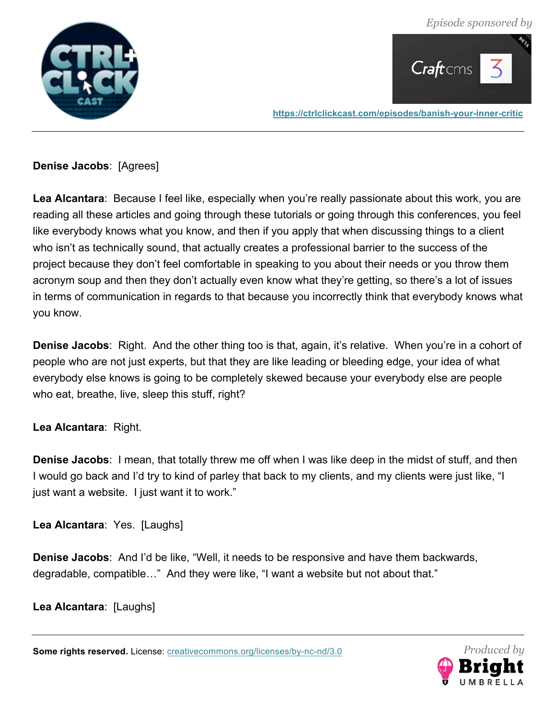*Episode sponsored by*





**https://ctrlclickcast.com/episodes/banish-your-inner-critic**

**Denise Jacobs**: [Agrees]

**Lea Alcantara**: Because I feel like, especially when you're really passionate about this work, you are reading all these articles and going through these tutorials or going through this conferences, you feel like everybody knows what you know, and then if you apply that when discussing things to a client who isn't as technically sound, that actually creates a professional barrier to the success of the project because they don't feel comfortable in speaking to you about their needs or you throw them acronym soup and then they don't actually even know what they're getting, so there's a lot of issues in terms of communication in regards to that because you incorrectly think that everybody knows what you know.

**Denise Jacobs**: Right. And the other thing too is that, again, it's relative. When you're in a cohort of people who are not just experts, but that they are like leading or bleeding edge, your idea of what everybody else knows is going to be completely skewed because your everybody else are people who eat, breathe, live, sleep this stuff, right?

# **Lea Alcantara**: Right.

**Denise Jacobs**: I mean, that totally threw me off when I was like deep in the midst of stuff, and then I would go back and I'd try to kind of parley that back to my clients, and my clients were just like, "I just want a website. I just want it to work."

**Lea Alcantara**: Yes. [Laughs]

**Denise Jacobs**: And I'd be like, "Well, it needs to be responsive and have them backwards, degradable, compatible…" And they were like, "I want a website but not about that."

**Lea Alcantara**: [Laughs]

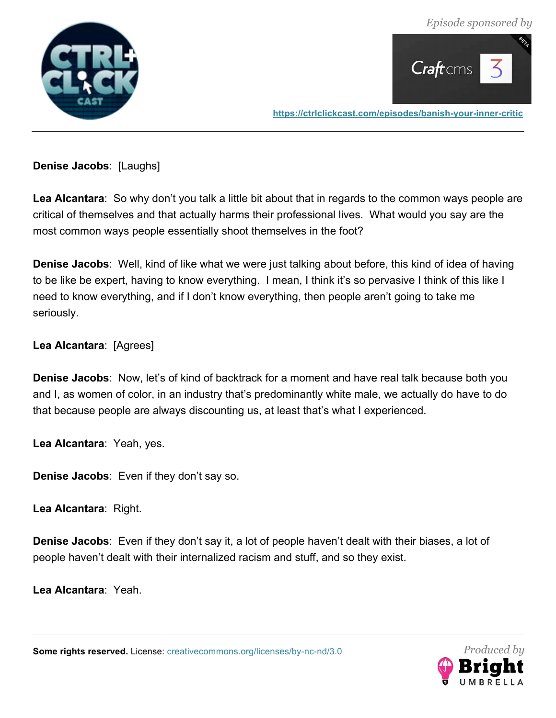*Episode sponsored by*





**https://ctrlclickcast.com/episodes/banish-your-inner-critic**

**Denise Jacobs**: [Laughs]

**Lea Alcantara**: So why don't you talk a little bit about that in regards to the common ways people are critical of themselves and that actually harms their professional lives. What would you say are the most common ways people essentially shoot themselves in the foot?

**Denise Jacobs**: Well, kind of like what we were just talking about before, this kind of idea of having to be like be expert, having to know everything. I mean, I think it's so pervasive I think of this like I need to know everything, and if I don't know everything, then people aren't going to take me seriously.

# **Lea Alcantara**: [Agrees]

**Denise Jacobs**: Now, let's of kind of backtrack for a moment and have real talk because both you and I, as women of color, in an industry that's predominantly white male, we actually do have to do that because people are always discounting us, at least that's what I experienced.

**Lea Alcantara**: Yeah, yes.

**Denise Jacobs**: Even if they don't say so.

**Lea Alcantara**: Right.

**Denise Jacobs**: Even if they don't say it, a lot of people haven't dealt with their biases, a lot of people haven't dealt with their internalized racism and stuff, and so they exist.

**Lea Alcantara**: Yeah.

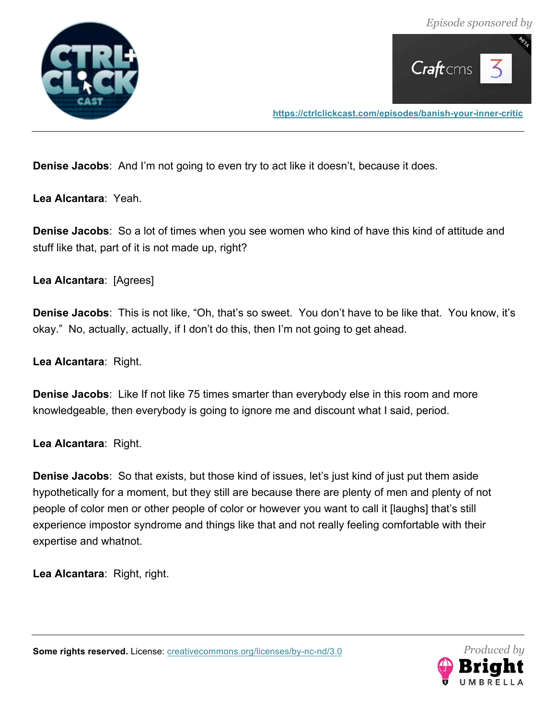



**Denise Jacobs**: And I'm not going to even try to act like it doesn't, because it does.

**Lea Alcantara**: Yeah.

**Denise Jacobs**: So a lot of times when you see women who kind of have this kind of attitude and stuff like that, part of it is not made up, right?

**Lea Alcantara**: [Agrees]

**Denise Jacobs**: This is not like, "Oh, that's so sweet. You don't have to be like that. You know, it's okay." No, actually, actually, if I don't do this, then I'm not going to get ahead.

**Lea Alcantara**: Right.

**Denise Jacobs**: Like If not like 75 times smarter than everybody else in this room and more knowledgeable, then everybody is going to ignore me and discount what I said, period.

**Lea Alcantara**: Right.

**Denise Jacobs**: So that exists, but those kind of issues, let's just kind of just put them aside hypothetically for a moment, but they still are because there are plenty of men and plenty of not people of color men or other people of color or however you want to call it [laughs] that's still experience impostor syndrome and things like that and not really feeling comfortable with their expertise and whatnot.

**Lea Alcantara**: Right, right.

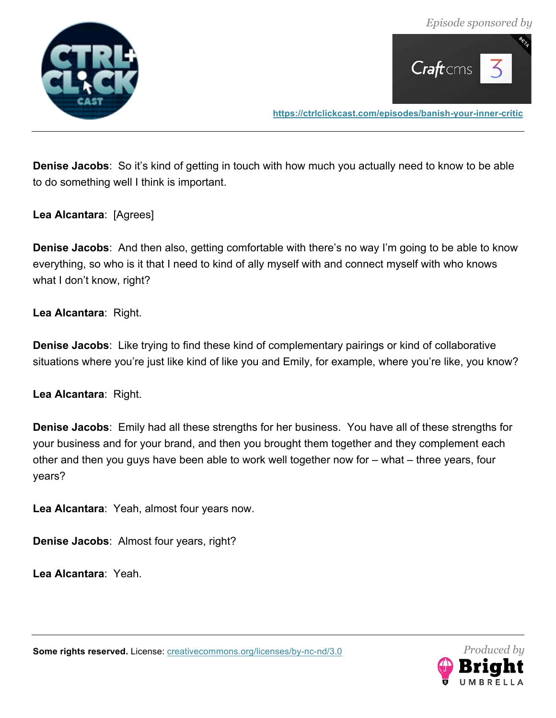



**Denise Jacobs**: So it's kind of getting in touch with how much you actually need to know to be able to do something well I think is important.

**Lea Alcantara**: [Agrees]

**Denise Jacobs**: And then also, getting comfortable with there's no way I'm going to be able to know everything, so who is it that I need to kind of ally myself with and connect myself with who knows what I don't know, right?

**Lea Alcantara**: Right.

**Denise Jacobs**: Like trying to find these kind of complementary pairings or kind of collaborative situations where you're just like kind of like you and Emily, for example, where you're like, you know?

**Lea Alcantara**: Right.

**Denise Jacobs**: Emily had all these strengths for her business. You have all of these strengths for your business and for your brand, and then you brought them together and they complement each other and then you guys have been able to work well together now for – what – three years, four years?

**Lea Alcantara**: Yeah, almost four years now.

**Denise Jacobs**: Almost four years, right?

**Lea Alcantara**: Yeah.

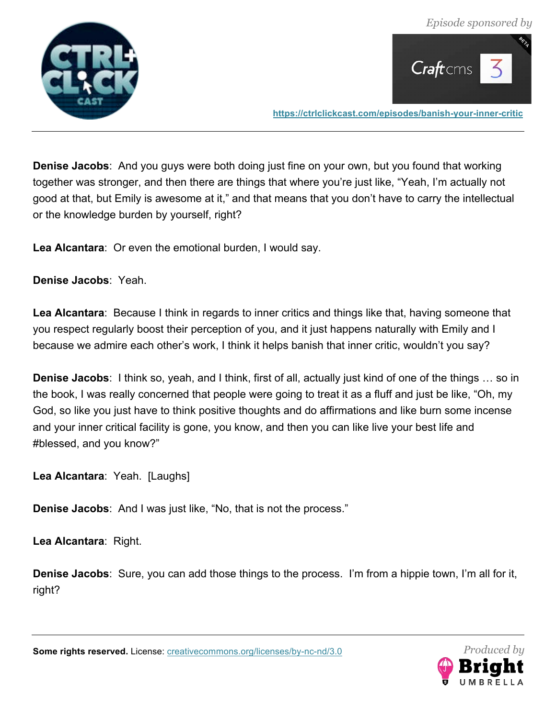



**Denise Jacobs**: And you guys were both doing just fine on your own, but you found that working together was stronger, and then there are things that where you're just like, "Yeah, I'm actually not good at that, but Emily is awesome at it," and that means that you don't have to carry the intellectual or the knowledge burden by yourself, right?

**Lea Alcantara**: Or even the emotional burden, I would say.

**Denise Jacobs**: Yeah.

**Lea Alcantara**: Because I think in regards to inner critics and things like that, having someone that you respect regularly boost their perception of you, and it just happens naturally with Emily and I because we admire each other's work, I think it helps banish that inner critic, wouldn't you say?

**Denise Jacobs**: I think so, yeah, and I think, first of all, actually just kind of one of the things … so in the book, I was really concerned that people were going to treat it as a fluff and just be like, "Oh, my God, so like you just have to think positive thoughts and do affirmations and like burn some incense and your inner critical facility is gone, you know, and then you can like live your best life and #blessed, and you know?"

**Lea Alcantara**: Yeah. [Laughs]

**Denise Jacobs**: And I was just like, "No, that is not the process."

**Lea Alcantara**: Right.

**Denise Jacobs**: Sure, you can add those things to the process. I'm from a hippie town, I'm all for it, right?

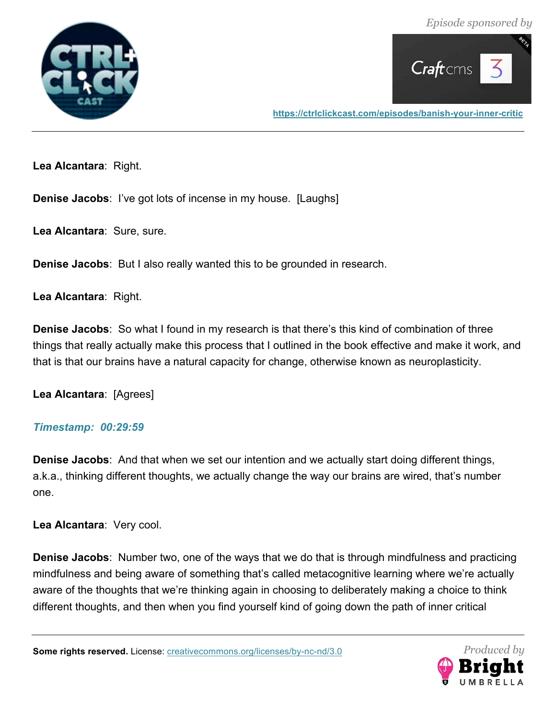



**Lea Alcantara**: Right.

**Denise Jacobs**: I've got lots of incense in my house. [Laughs]

**Lea Alcantara**: Sure, sure.

**Denise Jacobs**: But I also really wanted this to be grounded in research.

**Lea Alcantara**: Right.

**Denise Jacobs**: So what I found in my research is that there's this kind of combination of three things that really actually make this process that I outlined in the book effective and make it work, and that is that our brains have a natural capacity for change, otherwise known as neuroplasticity.

**Lea Alcantara**: [Agrees]

#### *Timestamp: 00:29:59*

**Denise Jacobs**: And that when we set our intention and we actually start doing different things, a.k.a., thinking different thoughts, we actually change the way our brains are wired, that's number one.

**Lea Alcantara**: Very cool.

**Denise Jacobs**: Number two, one of the ways that we do that is through mindfulness and practicing mindfulness and being aware of something that's called metacognitive learning where we're actually aware of the thoughts that we're thinking again in choosing to deliberately making a choice to think different thoughts, and then when you find yourself kind of going down the path of inner critical

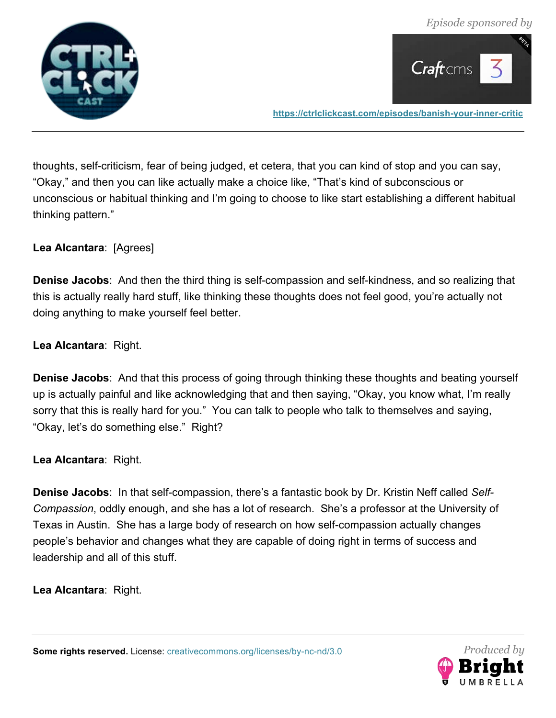



thoughts, self-criticism, fear of being judged, et cetera, that you can kind of stop and you can say, "Okay," and then you can like actually make a choice like, "That's kind of subconscious or unconscious or habitual thinking and I'm going to choose to like start establishing a different habitual thinking pattern."

# **Lea Alcantara**: [Agrees]

**Denise Jacobs**: And then the third thing is self-compassion and self-kindness, and so realizing that this is actually really hard stuff, like thinking these thoughts does not feel good, you're actually not doing anything to make yourself feel better.

# **Lea Alcantara**: Right.

**Denise Jacobs**: And that this process of going through thinking these thoughts and beating yourself up is actually painful and like acknowledging that and then saying, "Okay, you know what, I'm really sorry that this is really hard for you." You can talk to people who talk to themselves and saying, "Okay, let's do something else." Right?

#### **Lea Alcantara**: Right.

**Denise Jacobs**: In that self-compassion, there's a fantastic book by Dr. Kristin Neff called *Self-Compassion*, oddly enough, and she has a lot of research. She's a professor at the University of Texas in Austin. She has a large body of research on how self-compassion actually changes people's behavior and changes what they are capable of doing right in terms of success and leadership and all of this stuff.

**Lea Alcantara**: Right.

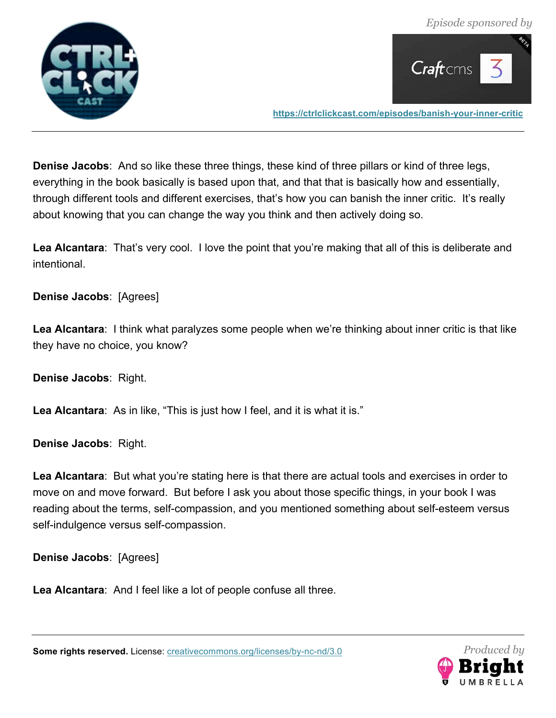



**Denise Jacobs**: And so like these three things, these kind of three pillars or kind of three legs, everything in the book basically is based upon that, and that that is basically how and essentially, through different tools and different exercises, that's how you can banish the inner critic. It's really about knowing that you can change the way you think and then actively doing so.

**Lea Alcantara**: That's very cool. I love the point that you're making that all of this is deliberate and intentional.

**Denise Jacobs**: [Agrees]

**Lea Alcantara**: I think what paralyzes some people when we're thinking about inner critic is that like they have no choice, you know?

**Denise Jacobs**: Right.

**Lea Alcantara**: As in like, "This is just how I feel, and it is what it is."

**Denise Jacobs**: Right.

**Lea Alcantara**: But what you're stating here is that there are actual tools and exercises in order to move on and move forward. But before I ask you about those specific things, in your book I was reading about the terms, self-compassion, and you mentioned something about self-esteem versus self-indulgence versus self-compassion.

**Denise Jacobs**: [Agrees]

**Lea Alcantara**: And I feel like a lot of people confuse all three.



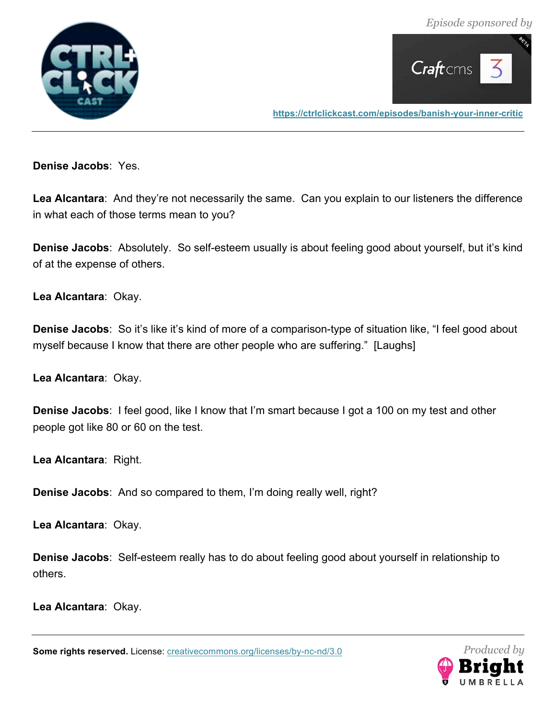*Episode sponsored by*





**https://ctrlclickcast.com/episodes/banish-your-inner-critic**

**Denise Jacobs**: Yes.

**Lea Alcantara**: And they're not necessarily the same. Can you explain to our listeners the difference in what each of those terms mean to you?

**Denise Jacobs**: Absolutely. So self-esteem usually is about feeling good about yourself, but it's kind of at the expense of others.

**Lea Alcantara**: Okay.

**Denise Jacobs**: So it's like it's kind of more of a comparison-type of situation like, "I feel good about myself because I know that there are other people who are suffering." [Laughs]

**Lea Alcantara**: Okay.

**Denise Jacobs**: I feel good, like I know that I'm smart because I got a 100 on my test and other people got like 80 or 60 on the test.

**Lea Alcantara**: Right.

**Denise Jacobs**: And so compared to them, I'm doing really well, right?

**Lea Alcantara**: Okay.

**Denise Jacobs**: Self-esteem really has to do about feeling good about yourself in relationship to others.

**Lea Alcantara**: Okay.

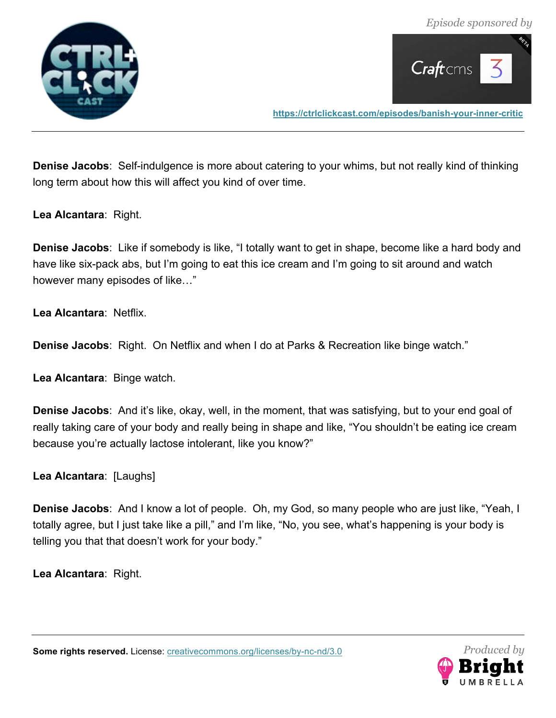



**Denise Jacobs**: Self-indulgence is more about catering to your whims, but not really kind of thinking long term about how this will affect you kind of over time.

**Lea Alcantara**: Right.

**Denise Jacobs**: Like if somebody is like, "I totally want to get in shape, become like a hard body and have like six-pack abs, but I'm going to eat this ice cream and I'm going to sit around and watch however many episodes of like…"

**Lea Alcantara**: Netflix.

**Denise Jacobs**: Right. On Netflix and when I do at Parks & Recreation like binge watch."

**Lea Alcantara**: Binge watch.

**Denise Jacobs**: And it's like, okay, well, in the moment, that was satisfying, but to your end goal of really taking care of your body and really being in shape and like, "You shouldn't be eating ice cream because you're actually lactose intolerant, like you know?"

**Lea Alcantara**: [Laughs]

**Denise Jacobs**: And I know a lot of people. Oh, my God, so many people who are just like, "Yeah, I totally agree, but I just take like a pill," and I'm like, "No, you see, what's happening is your body is telling you that that doesn't work for your body."

**Lea Alcantara**: Right.

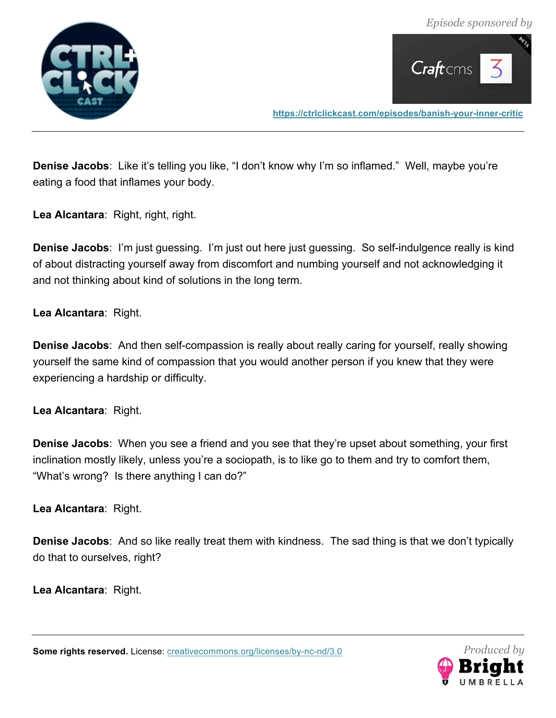



**Denise Jacobs**: Like it's telling you like, "I don't know why I'm so inflamed." Well, maybe you're eating a food that inflames your body.

**Lea Alcantara**: Right, right, right.

**Denise Jacobs**: I'm just guessing. I'm just out here just guessing. So self-indulgence really is kind of about distracting yourself away from discomfort and numbing yourself and not acknowledging it and not thinking about kind of solutions in the long term.

**Lea Alcantara**: Right.

**Denise Jacobs**: And then self-compassion is really about really caring for yourself, really showing yourself the same kind of compassion that you would another person if you knew that they were experiencing a hardship or difficulty.

**Lea Alcantara**: Right.

**Denise Jacobs**: When you see a friend and you see that they're upset about something, your first inclination mostly likely, unless you're a sociopath, is to like go to them and try to comfort them, "What's wrong? Is there anything I can do?"

**Lea Alcantara**: Right.

**Denise Jacobs**: And so like really treat them with kindness. The sad thing is that we don't typically do that to ourselves, right?

**Lea Alcantara**: Right.

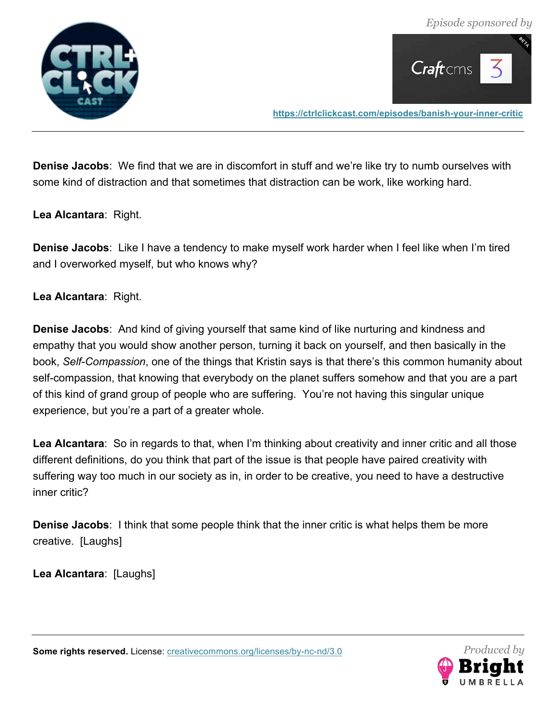



**Denise Jacobs**: We find that we are in discomfort in stuff and we're like try to numb ourselves with some kind of distraction and that sometimes that distraction can be work, like working hard.

**Lea Alcantara**: Right.

**Denise Jacobs**: Like I have a tendency to make myself work harder when I feel like when I'm tired and I overworked myself, but who knows why?

**Lea Alcantara**: Right.

**Denise Jacobs**: And kind of giving yourself that same kind of like nurturing and kindness and empathy that you would show another person, turning it back on yourself, and then basically in the book, *Self-Compassion*, one of the things that Kristin says is that there's this common humanity about self-compassion, that knowing that everybody on the planet suffers somehow and that you are a part of this kind of grand group of people who are suffering. You're not having this singular unique experience, but you're a part of a greater whole.

**Lea Alcantara**: So in regards to that, when I'm thinking about creativity and inner critic and all those different definitions, do you think that part of the issue is that people have paired creativity with suffering way too much in our society as in, in order to be creative, you need to have a destructive inner critic?

**Denise Jacobs**: I think that some people think that the inner critic is what helps them be more creative. [Laughs]

**Lea Alcantara**: [Laughs]

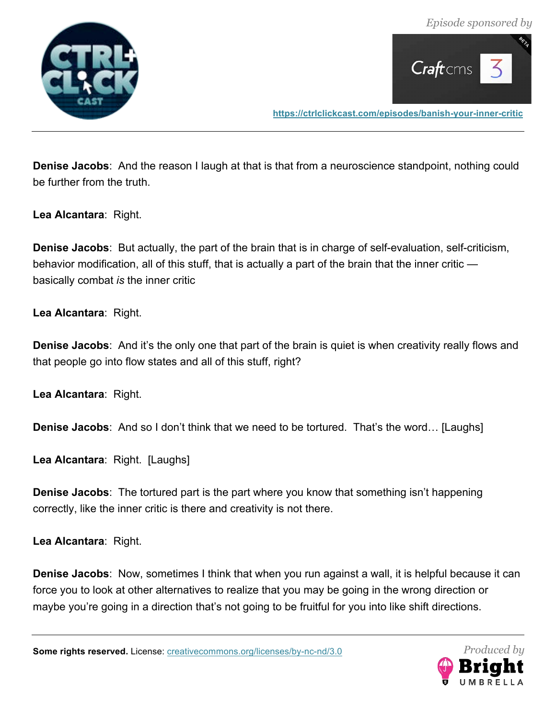

![](_page_31_Picture_2.jpeg)

**Denise Jacobs**: And the reason I laugh at that is that from a neuroscience standpoint, nothing could be further from the truth.

**Lea Alcantara**: Right.

**Denise Jacobs**: But actually, the part of the brain that is in charge of self-evaluation, self-criticism, behavior modification, all of this stuff, that is actually a part of the brain that the inner critic basically combat *is* the inner critic

**Lea Alcantara**: Right.

**Denise Jacobs**: And it's the only one that part of the brain is quiet is when creativity really flows and that people go into flow states and all of this stuff, right?

**Lea Alcantara**: Right.

**Denise Jacobs**: And so I don't think that we need to be tortured. That's the word… [Laughs]

**Lea Alcantara**: Right. [Laughs]

**Denise Jacobs**: The tortured part is the part where you know that something isn't happening correctly, like the inner critic is there and creativity is not there.

**Lea Alcantara**: Right.

**Denise Jacobs**: Now, sometimes I think that when you run against a wall, it is helpful because it can force you to look at other alternatives to realize that you may be going in the wrong direction or maybe you're going in a direction that's not going to be fruitful for you into like shift directions.

![](_page_31_Picture_16.jpeg)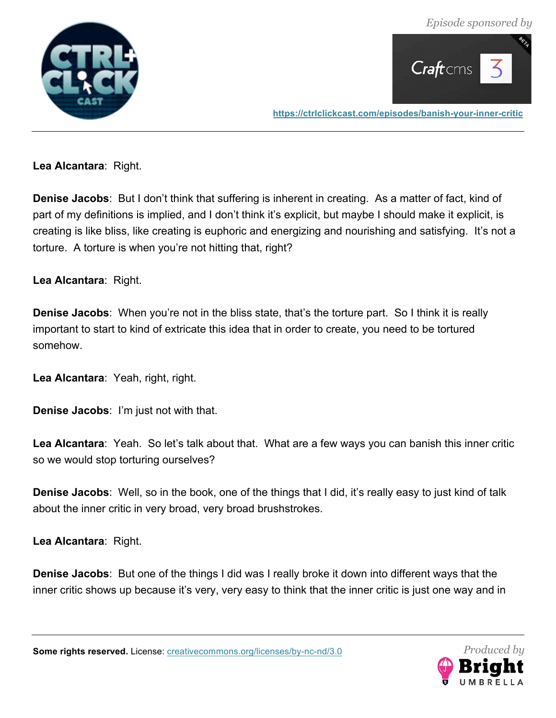*Episode sponsored by*

![](_page_32_Picture_1.jpeg)

![](_page_32_Picture_2.jpeg)

**https://ctrlclickcast.com/episodes/banish-your-inner-critic**

**Lea Alcantara**: Right.

**Denise Jacobs**: But I don't think that suffering is inherent in creating. As a matter of fact, kind of part of my definitions is implied, and I don't think it's explicit, but maybe I should make it explicit, is creating is like bliss, like creating is euphoric and energizing and nourishing and satisfying. It's not a torture. A torture is when you're not hitting that, right?

**Lea Alcantara**: Right.

**Denise Jacobs**: When you're not in the bliss state, that's the torture part. So I think it is really important to start to kind of extricate this idea that in order to create, you need to be tortured somehow.

**Lea Alcantara**: Yeah, right, right.

**Denise Jacobs**: I'm just not with that.

**Lea Alcantara**: Yeah. So let's talk about that. What are a few ways you can banish this inner critic so we would stop torturing ourselves?

**Denise Jacobs**: Well, so in the book, one of the things that I did, it's really easy to just kind of talk about the inner critic in very broad, very broad brushstrokes.

**Lea Alcantara**: Right.

**Denise Jacobs**: But one of the things I did was I really broke it down into different ways that the inner critic shows up because it's very, very easy to think that the inner critic is just one way and in

![](_page_32_Picture_15.jpeg)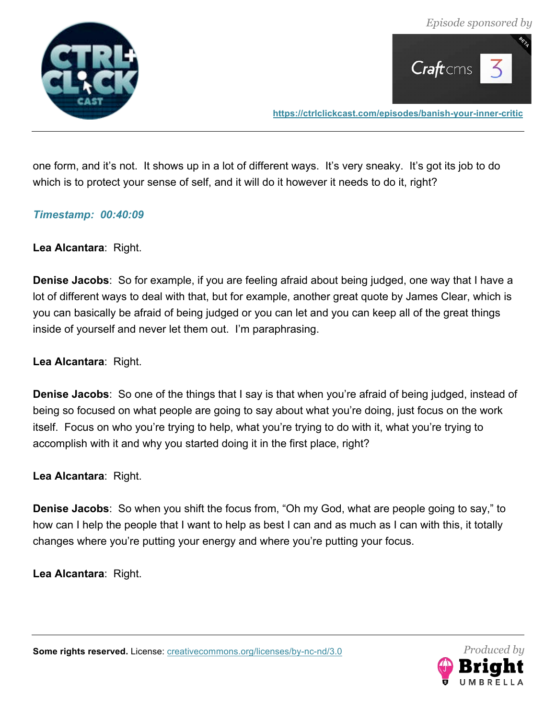![](_page_33_Picture_1.jpeg)

![](_page_33_Picture_2.jpeg)

one form, and it's not. It shows up in a lot of different ways. It's very sneaky. It's got its job to do which is to protect your sense of self, and it will do it however it needs to do it, right?

#### *Timestamp: 00:40:09*

**Lea Alcantara**: Right.

**Denise Jacobs**: So for example, if you are feeling afraid about being judged, one way that I have a lot of different ways to deal with that, but for example, another great quote by James Clear, which is you can basically be afraid of being judged or you can let and you can keep all of the great things inside of yourself and never let them out. I'm paraphrasing.

**Lea Alcantara**: Right.

**Denise Jacobs**: So one of the things that I say is that when you're afraid of being judged, instead of being so focused on what people are going to say about what you're doing, just focus on the work itself. Focus on who you're trying to help, what you're trying to do with it, what you're trying to accomplish with it and why you started doing it in the first place, right?

**Lea Alcantara**: Right.

**Denise Jacobs**: So when you shift the focus from, "Oh my God, what are people going to say," to how can I help the people that I want to help as best I can and as much as I can with this, it totally changes where you're putting your energy and where you're putting your focus.

**Lea Alcantara**: Right.

![](_page_33_Picture_14.jpeg)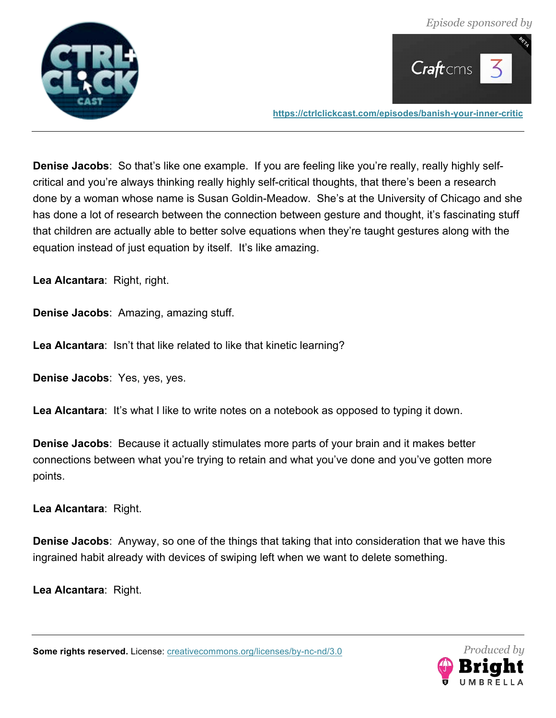![](_page_34_Picture_1.jpeg)

![](_page_34_Picture_2.jpeg)

**Denise Jacobs**: So that's like one example. If you are feeling like you're really, really highly selfcritical and you're always thinking really highly self-critical thoughts, that there's been a research done by a woman whose name is Susan Goldin-Meadow. She's at the University of Chicago and she has done a lot of research between the connection between gesture and thought, it's fascinating stuff that children are actually able to better solve equations when they're taught gestures along with the equation instead of just equation by itself. It's like amazing.

**Lea Alcantara**: Right, right.

**Denise Jacobs**: Amazing, amazing stuff.

**Lea Alcantara**: Isn't that like related to like that kinetic learning?

**Denise Jacobs**: Yes, yes, yes.

Lea Alcantara: It's what I like to write notes on a notebook as opposed to typing it down.

**Denise Jacobs**: Because it actually stimulates more parts of your brain and it makes better connections between what you're trying to retain and what you've done and you've gotten more points.

**Lea Alcantara**: Right.

**Denise Jacobs**: Anyway, so one of the things that taking that into consideration that we have this ingrained habit already with devices of swiping left when we want to delete something.

**Lea Alcantara**: Right.

![](_page_34_Picture_15.jpeg)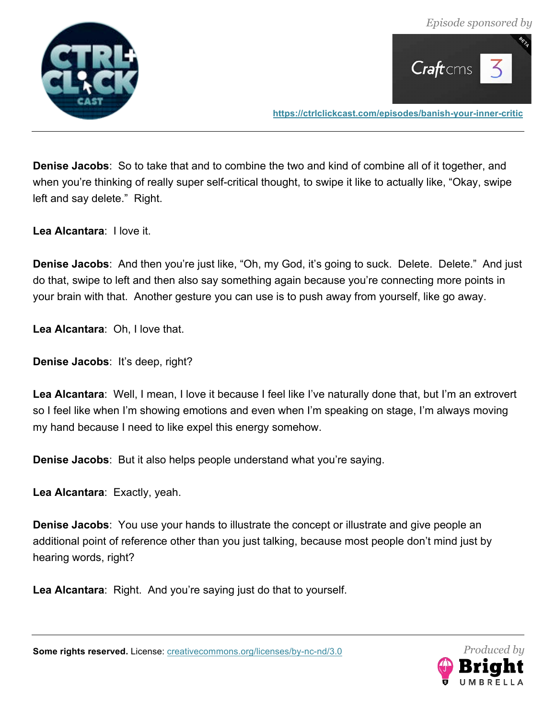![](_page_35_Picture_1.jpeg)

![](_page_35_Picture_2.jpeg)

**Denise Jacobs**: So to take that and to combine the two and kind of combine all of it together, and when you're thinking of really super self-critical thought, to swipe it like to actually like, "Okay, swipe left and say delete." Right.

**Lea Alcantara**: I love it.

**Denise Jacobs**: And then you're just like, "Oh, my God, it's going to suck. Delete. Delete." And just do that, swipe to left and then also say something again because you're connecting more points in your brain with that. Another gesture you can use is to push away from yourself, like go away.

**Lea Alcantara**: Oh, I love that.

**Denise Jacobs**: It's deep, right?

**Lea Alcantara**: Well, I mean, I love it because I feel like I've naturally done that, but I'm an extrovert so I feel like when I'm showing emotions and even when I'm speaking on stage, I'm always moving my hand because I need to like expel this energy somehow.

**Denise Jacobs**: But it also helps people understand what you're saying.

**Lea Alcantara**: Exactly, yeah.

**Denise Jacobs**: You use your hands to illustrate the concept or illustrate and give people an additional point of reference other than you just talking, because most people don't mind just by hearing words, right?

**Lea Alcantara**: Right. And you're saying just do that to yourself.

![](_page_35_Picture_15.jpeg)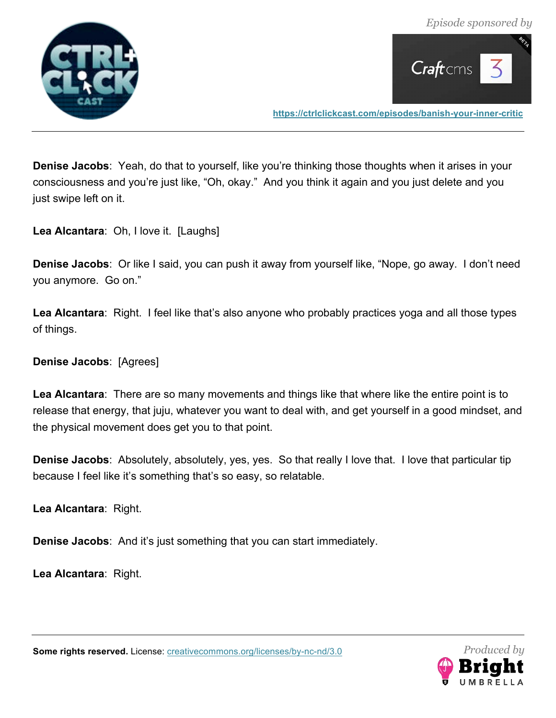![](_page_36_Picture_1.jpeg)

![](_page_36_Picture_2.jpeg)

**Denise Jacobs**: Yeah, do that to yourself, like you're thinking those thoughts when it arises in your consciousness and you're just like, "Oh, okay." And you think it again and you just delete and you just swipe left on it.

**Lea Alcantara**: Oh, I love it. [Laughs]

**Denise Jacobs**: Or like I said, you can push it away from yourself like, "Nope, go away. I don't need you anymore. Go on."

**Lea Alcantara**: Right. I feel like that's also anyone who probably practices yoga and all those types of things.

**Denise Jacobs**: [Agrees]

**Lea Alcantara**: There are so many movements and things like that where like the entire point is to release that energy, that juju, whatever you want to deal with, and get yourself in a good mindset, and the physical movement does get you to that point.

**Denise Jacobs**: Absolutely, absolutely, yes, yes. So that really I love that. I love that particular tip because I feel like it's something that's so easy, so relatable.

**Lea Alcantara**: Right.

**Denise Jacobs**: And it's just something that you can start immediately.

**Lea Alcantara**: Right.

![](_page_36_Picture_14.jpeg)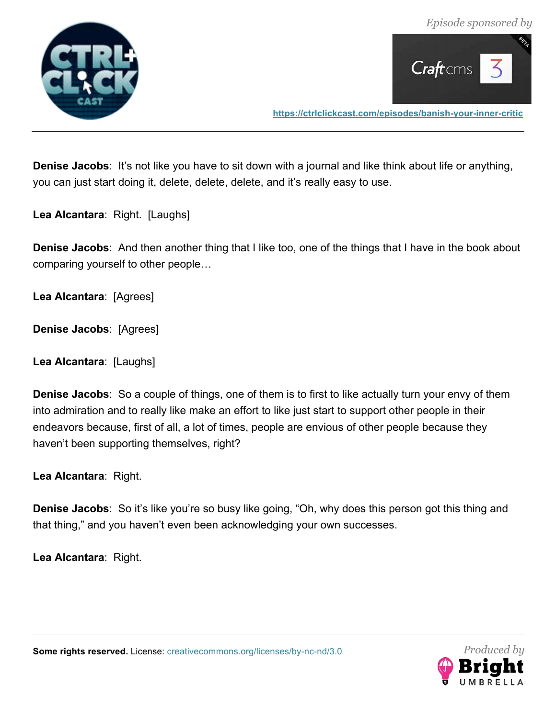![](_page_37_Picture_1.jpeg)

![](_page_37_Picture_2.jpeg)

**Denise Jacobs**: It's not like you have to sit down with a journal and like think about life or anything, you can just start doing it, delete, delete, delete, and it's really easy to use.

**Lea Alcantara**: Right. [Laughs]

**Denise Jacobs**: And then another thing that I like too, one of the things that I have in the book about comparing yourself to other people…

**Lea Alcantara**: [Agrees]

**Denise Jacobs**: [Agrees]

**Lea Alcantara**: [Laughs]

**Denise Jacobs**: So a couple of things, one of them is to first to like actually turn your envy of them into admiration and to really like make an effort to like just start to support other people in their endeavors because, first of all, a lot of times, people are envious of other people because they haven't been supporting themselves, right?

**Lea Alcantara**: Right.

**Denise Jacobs**: So it's like you're so busy like going, "Oh, why does this person got this thing and that thing," and you haven't even been acknowledging your own successes.

**Lea Alcantara**: Right.

![](_page_37_Picture_14.jpeg)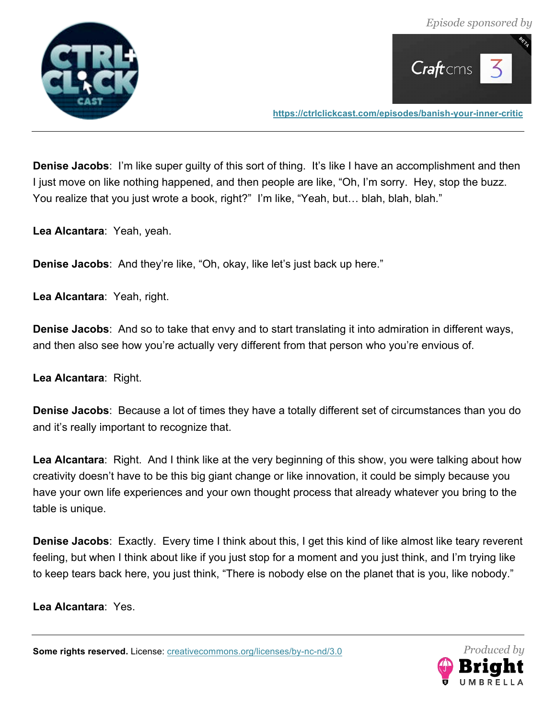![](_page_38_Picture_1.jpeg)

![](_page_38_Picture_2.jpeg)

**Denise Jacobs**: I'm like super guilty of this sort of thing. It's like I have an accomplishment and then I just move on like nothing happened, and then people are like, "Oh, I'm sorry. Hey, stop the buzz. You realize that you just wrote a book, right?" I'm like, "Yeah, but… blah, blah, blah."

**Lea Alcantara**: Yeah, yeah.

**Denise Jacobs**: And they're like, "Oh, okay, like let's just back up here."

**Lea Alcantara**: Yeah, right.

**Denise Jacobs**: And so to take that envy and to start translating it into admiration in different ways, and then also see how you're actually very different from that person who you're envious of.

**Lea Alcantara**: Right.

**Denise Jacobs**: Because a lot of times they have a totally different set of circumstances than you do and it's really important to recognize that.

**Lea Alcantara**: Right. And I think like at the very beginning of this show, you were talking about how creativity doesn't have to be this big giant change or like innovation, it could be simply because you have your own life experiences and your own thought process that already whatever you bring to the table is unique.

**Denise Jacobs**: Exactly. Every time I think about this, I get this kind of like almost like teary reverent feeling, but when I think about like if you just stop for a moment and you just think, and I'm trying like to keep tears back here, you just think, "There is nobody else on the planet that is you, like nobody."

**Lea Alcantara**: Yes.

![](_page_38_Picture_15.jpeg)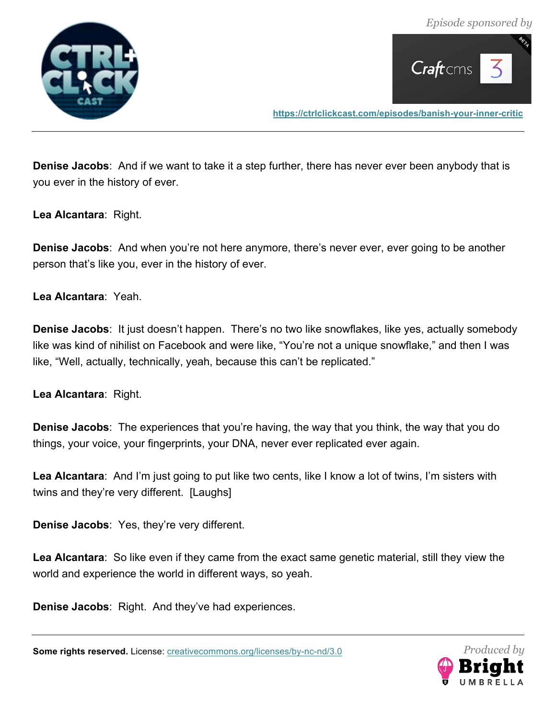![](_page_39_Picture_1.jpeg)

![](_page_39_Picture_2.jpeg)

**Denise Jacobs**: And if we want to take it a step further, there has never ever been anybody that is you ever in the history of ever.

**Lea Alcantara**: Right.

**Denise Jacobs**: And when you're not here anymore, there's never ever, ever going to be another person that's like you, ever in the history of ever.

**Lea Alcantara**: Yeah.

**Denise Jacobs**: It just doesn't happen. There's no two like snowflakes, like yes, actually somebody like was kind of nihilist on Facebook and were like, "You're not a unique snowflake," and then I was like, "Well, actually, technically, yeah, because this can't be replicated."

**Lea Alcantara**: Right.

**Denise Jacobs**: The experiences that you're having, the way that you think, the way that you do things, your voice, your fingerprints, your DNA, never ever replicated ever again.

**Lea Alcantara**: And I'm just going to put like two cents, like I know a lot of twins, I'm sisters with twins and they're very different. [Laughs]

**Denise Jacobs**: Yes, they're very different.

**Lea Alcantara**: So like even if they came from the exact same genetic material, still they view the world and experience the world in different ways, so yeah.

**Denise Jacobs**: Right. And they've had experiences.

![](_page_39_Picture_16.jpeg)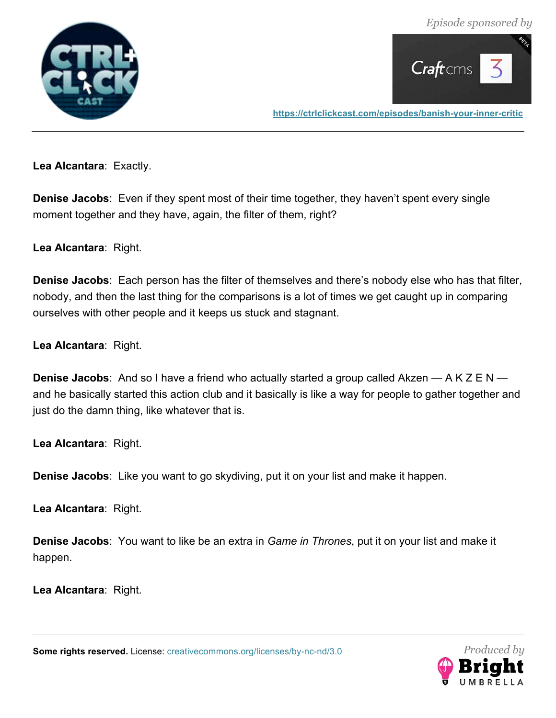*Episode sponsored by*

![](_page_40_Picture_1.jpeg)

![](_page_40_Picture_2.jpeg)

**https://ctrlclickcast.com/episodes/banish-your-inner-critic**

**Lea Alcantara**: Exactly.

**Denise Jacobs**: Even if they spent most of their time together, they haven't spent every single moment together and they have, again, the filter of them, right?

**Lea Alcantara**: Right.

**Denise Jacobs**: Each person has the filter of themselves and there's nobody else who has that filter, nobody, and then the last thing for the comparisons is a lot of times we get caught up in comparing ourselves with other people and it keeps us stuck and stagnant.

**Lea Alcantara**: Right.

**Denise Jacobs**: And so I have a friend who actually started a group called Akzen — A K Z E N and he basically started this action club and it basically is like a way for people to gather together and just do the damn thing, like whatever that is.

**Lea Alcantara**: Right.

**Denise Jacobs**: Like you want to go skydiving, put it on your list and make it happen.

**Lea Alcantara**: Right.

**Denise Jacobs**: You want to like be an extra in *Game in Thrones*, put it on your list and make it happen.

**Lea Alcantara**: Right.

![](_page_40_Picture_16.jpeg)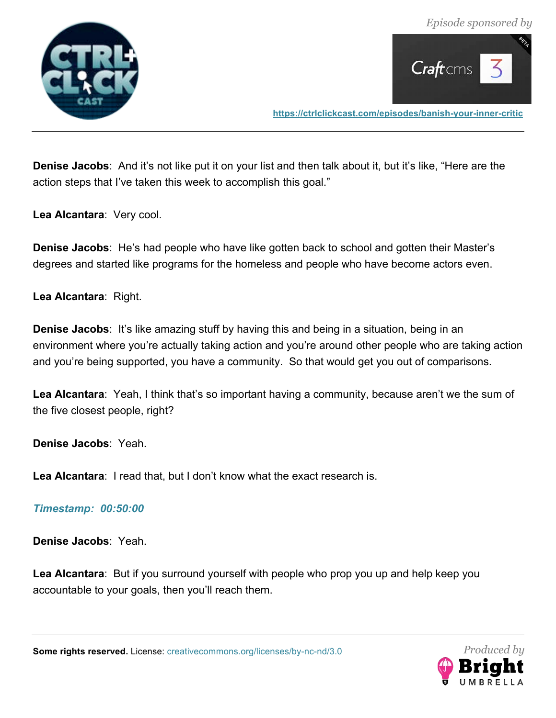![](_page_41_Picture_1.jpeg)

![](_page_41_Picture_2.jpeg)

**Denise Jacobs**: And it's not like put it on your list and then talk about it, but it's like, "Here are the action steps that I've taken this week to accomplish this goal."

**Lea Alcantara**: Very cool.

**Denise Jacobs**: He's had people who have like gotten back to school and gotten their Master's degrees and started like programs for the homeless and people who have become actors even.

**Lea Alcantara**: Right.

**Denise Jacobs**: It's like amazing stuff by having this and being in a situation, being in an environment where you're actually taking action and you're around other people who are taking action and you're being supported, you have a community. So that would get you out of comparisons.

**Lea Alcantara**: Yeah, I think that's so important having a community, because aren't we the sum of the five closest people, right?

**Denise Jacobs**: Yeah.

**Lea Alcantara**: I read that, but I don't know what the exact research is.

#### *Timestamp: 00:50:00*

**Denise Jacobs**: Yeah.

**Lea Alcantara**: But if you surround yourself with people who prop you up and help keep you accountable to your goals, then you'll reach them.

![](_page_41_Picture_16.jpeg)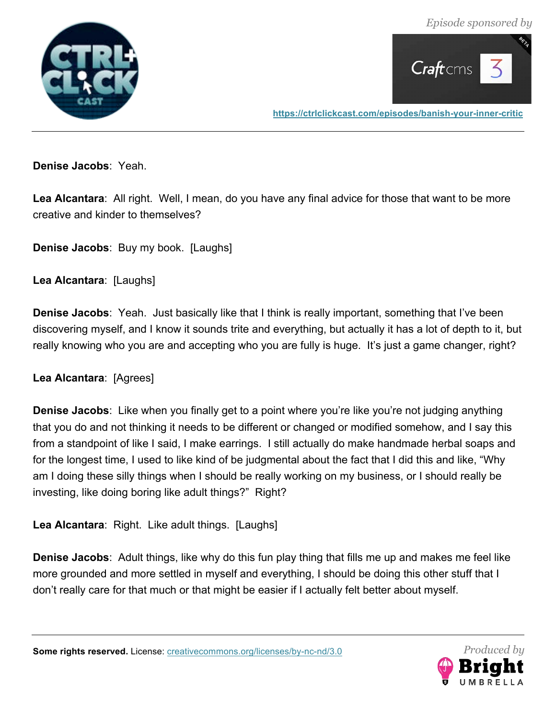*Episode sponsored by*

![](_page_42_Picture_1.jpeg)

![](_page_42_Picture_2.jpeg)

**https://ctrlclickcast.com/episodes/banish-your-inner-critic**

**Denise Jacobs**: Yeah.

**Lea Alcantara**: All right. Well, I mean, do you have any final advice for those that want to be more creative and kinder to themselves?

**Denise Jacobs**: Buy my book. [Laughs]

**Lea Alcantara**: [Laughs]

**Denise Jacobs**: Yeah. Just basically like that I think is really important, something that I've been discovering myself, and I know it sounds trite and everything, but actually it has a lot of depth to it, but really knowing who you are and accepting who you are fully is huge. It's just a game changer, right?

**Lea Alcantara**: [Agrees]

**Denise Jacobs**: Like when you finally get to a point where you're like you're not judging anything that you do and not thinking it needs to be different or changed or modified somehow, and I say this from a standpoint of like I said, I make earrings. I still actually do make handmade herbal soaps and for the longest time, I used to like kind of be judgmental about the fact that I did this and like, "Why am I doing these silly things when I should be really working on my business, or I should really be investing, like doing boring like adult things?" Right?

**Lea Alcantara**: Right. Like adult things. [Laughs]

**Denise Jacobs**: Adult things, like why do this fun play thing that fills me up and makes me feel like more grounded and more settled in myself and everything, I should be doing this other stuff that I don't really care for that much or that might be easier if I actually felt better about myself.

![](_page_42_Picture_14.jpeg)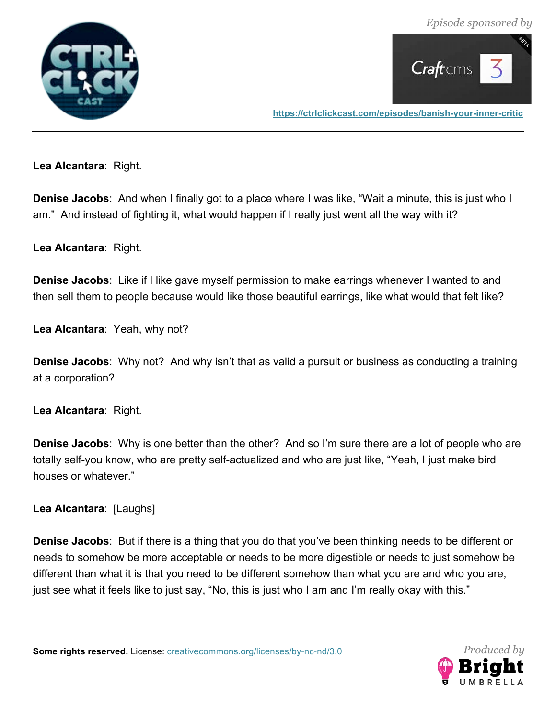![](_page_43_Picture_1.jpeg)

![](_page_43_Picture_2.jpeg)

**Lea Alcantara**: Right.

**Denise Jacobs**: And when I finally got to a place where I was like, "Wait a minute, this is just who I am." And instead of fighting it, what would happen if I really just went all the way with it?

**Lea Alcantara**: Right.

**Denise Jacobs**: Like if I like gave myself permission to make earrings whenever I wanted to and then sell them to people because would like those beautiful earrings, like what would that felt like?

**Lea Alcantara**: Yeah, why not?

**Denise Jacobs**: Why not? And why isn't that as valid a pursuit or business as conducting a training at a corporation?

**Lea Alcantara**: Right.

**Denise Jacobs**: Why is one better than the other? And so I'm sure there are a lot of people who are totally self-you know, who are pretty self-actualized and who are just like, "Yeah, I just make bird houses or whatever."

**Lea Alcantara**: [Laughs]

**Denise Jacobs**: But if there is a thing that you do that you've been thinking needs to be different or needs to somehow be more acceptable or needs to be more digestible or needs to just somehow be different than what it is that you need to be different somehow than what you are and who you are, just see what it feels like to just say, "No, this is just who I am and I'm really okay with this."

![](_page_43_Picture_15.jpeg)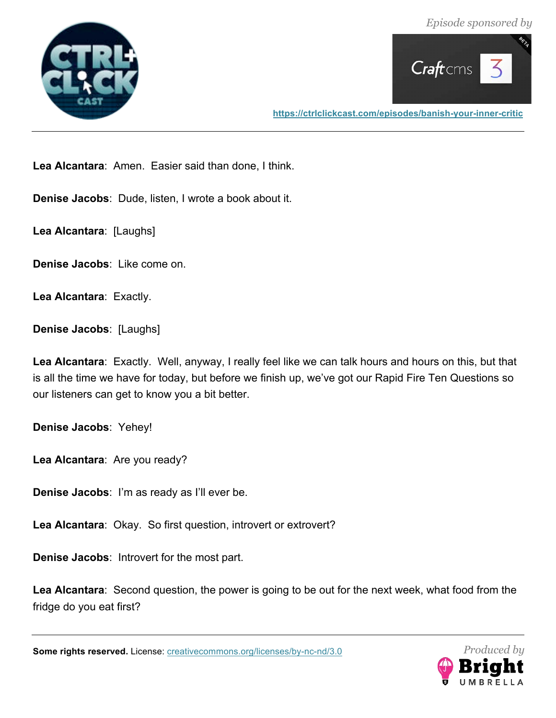![](_page_44_Picture_1.jpeg)

![](_page_44_Picture_2.jpeg)

**Lea Alcantara**: Amen. Easier said than done, I think.

**Denise Jacobs**: Dude, listen, I wrote a book about it.

**Lea Alcantara**: [Laughs]

**Denise Jacobs**: Like come on.

**Lea Alcantara**: Exactly.

**Denise Jacobs**: [Laughs]

**Lea Alcantara**: Exactly. Well, anyway, I really feel like we can talk hours and hours on this, but that is all the time we have for today, but before we finish up, we've got our Rapid Fire Ten Questions so our listeners can get to know you a bit better.

**Denise Jacobs**: Yehey!

**Lea Alcantara**: Are you ready?

**Denise Jacobs**: I'm as ready as I'll ever be.

**Lea Alcantara**: Okay. So first question, introvert or extrovert?

**Denise Jacobs**: Introvert for the most part.

**Lea Alcantara**: Second question, the power is going to be out for the next week, what food from the fridge do you eat first?

![](_page_44_Picture_18.jpeg)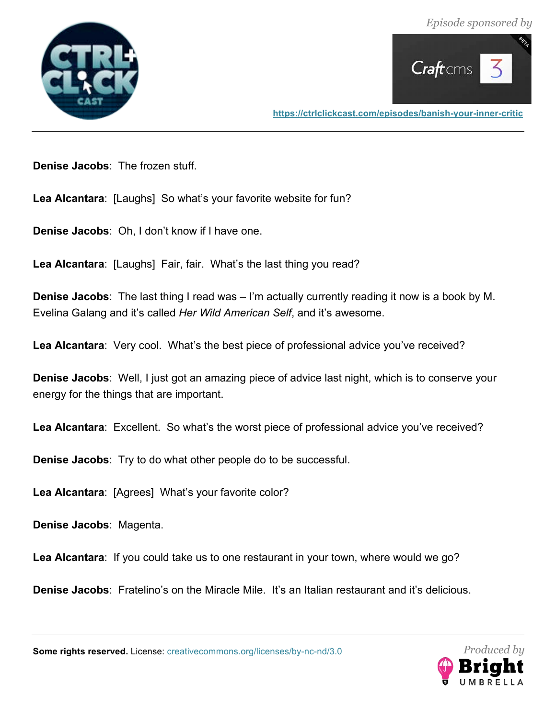![](_page_45_Picture_1.jpeg)

![](_page_45_Picture_2.jpeg)

**Denise Jacobs**: The frozen stuff.

**Lea Alcantara**: [Laughs] So what's your favorite website for fun?

**Denise Jacobs**: Oh, I don't know if I have one.

**Lea Alcantara**: [Laughs] Fair, fair. What's the last thing you read?

**Denise Jacobs**: The last thing I read was – I'm actually currently reading it now is a book by M. Evelina Galang and it's called *Her Wild American Self*, and it's awesome.

**Lea Alcantara**: Very cool. What's the best piece of professional advice you've received?

**Denise Jacobs**: Well, I just got an amazing piece of advice last night, which is to conserve your energy for the things that are important.

**Lea Alcantara**: Excellent. So what's the worst piece of professional advice you've received?

**Denise Jacobs**: Try to do what other people do to be successful.

**Lea Alcantara**: [Agrees] What's your favorite color?

**Denise Jacobs**: Magenta.

**Lea Alcantara**: If you could take us to one restaurant in your town, where would we go?

**Denise Jacobs**: Fratelino's on the Miracle Mile. It's an Italian restaurant and it's delicious.

![](_page_45_Picture_18.jpeg)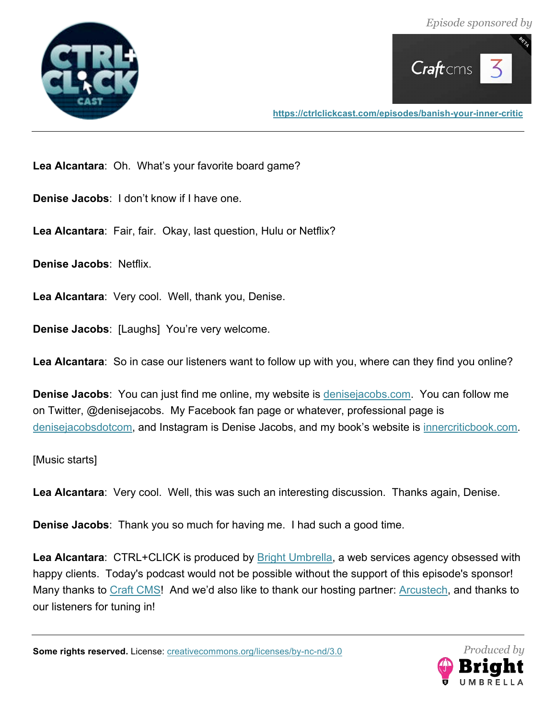![](_page_46_Picture_1.jpeg)

![](_page_46_Picture_2.jpeg)

**Lea Alcantara**: Oh. What's your favorite board game?

**Denise Jacobs**: I don't know if I have one.

**Lea Alcantara**: Fair, fair. Okay, last question, Hulu or Netflix?

**Denise Jacobs**: Netflix.

**Lea Alcantara**: Very cool. Well, thank you, Denise.

**Denise Jacobs**: [Laughs] You're very welcome.

**Lea Alcantara**: So in case our listeners want to follow up with you, where can they find you online?

**Denise Jacobs**: You can just find me online, my website is denisejacobs.com. You can follow me on Twitter, @denisejacobs. My Facebook fan page or whatever, professional page is denisejacobsdotcom, and Instagram is Denise Jacobs, and my book's website is innercriticbook.com.

[Music starts]

**Lea Alcantara**: Very cool. Well, this was such an interesting discussion. Thanks again, Denise.

**Denise Jacobs**: Thank you so much for having me. I had such a good time.

**Lea Alcantara**: CTRL+CLICK is produced by Bright Umbrella, a web services agency obsessed with happy clients. Today's podcast would not be possible without the support of this episode's sponsor! Many thanks to Craft CMS! And we'd also like to thank our hosting partner: Arcustech, and thanks to our listeners for tuning in!

![](_page_46_Picture_17.jpeg)